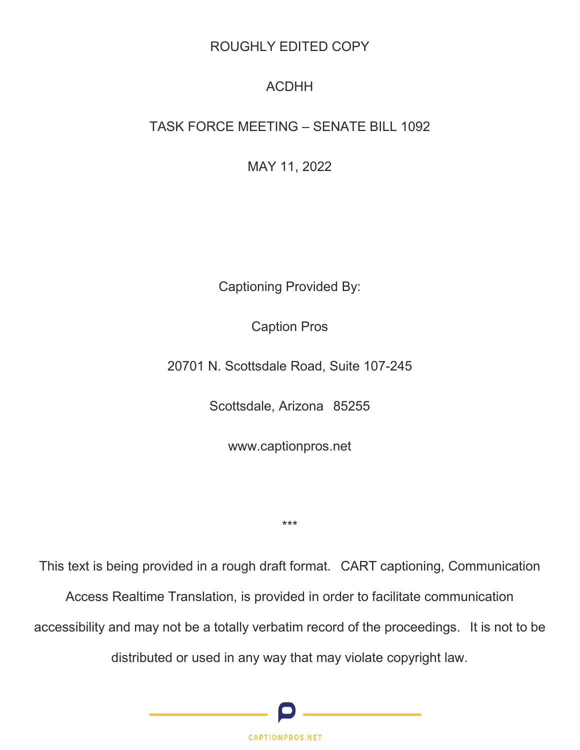# ROUGHLY EDITED COPY

# ACDHH

# TASK FORCE MEETING – SENATE BILL 1092

MAY 11, 2022

Captioning Provided By:

Caption Pros

20701 N. Scottsdale Road, Suite 107-245

Scottsdale, Arizona 85255

www.captionpros.net

\*\*\*

This text is being provided in a rough draft format. CART captioning, Communication

Access Realtime Translation, is provided in order to facilitate communication

accessibility and may not be a totally verbatim record of the proceedings. It is not to be

distributed or used in any way that may violate copyright law.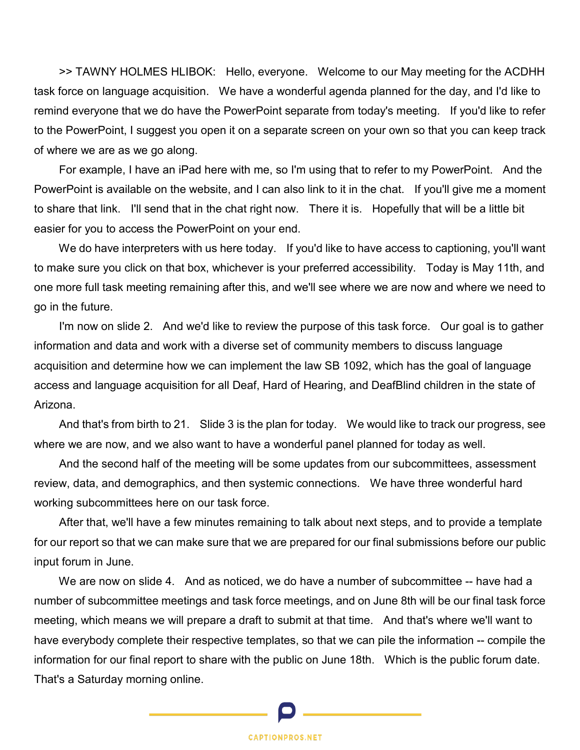>> TAWNY HOLMES HLIBOK: Hello, everyone. Welcome to our May meeting for the ACDHH task force on language acquisition. We have a wonderful agenda planned for the day, and I'd like to remind everyone that we do have the PowerPoint separate from today's meeting. If you'd like to refer to the PowerPoint, I suggest you open it on a separate screen on your own so that you can keep track of where we are as we go along.

 For example, I have an iPad here with me, so I'm using that to refer to my PowerPoint. And the PowerPoint is available on the website, and I can also link to it in the chat. If you'll give me a moment to share that link. I'll send that in the chat right now. There it is. Hopefully that will be a little bit easier for you to access the PowerPoint on your end.

We do have interpreters with us here today. If you'd like to have access to captioning, you'll want to make sure you click on that box, whichever is your preferred accessibility. Today is May 11th, and one more full task meeting remaining after this, and we'll see where we are now and where we need to go in the future.

 I'm now on slide 2. And we'd like to review the purpose of this task force. Our goal is to gather information and data and work with a diverse set of community members to discuss language acquisition and determine how we can implement the law SB 1092, which has the goal of language access and language acquisition for all Deaf, Hard of Hearing, and DeafBlind children in the state of Arizona.

 And that's from birth to 21. Slide 3 is the plan for today. We would like to track our progress, see where we are now, and we also want to have a wonderful panel planned for today as well.

 And the second half of the meeting will be some updates from our subcommittees, assessment review, data, and demographics, and then systemic connections. We have three wonderful hard working subcommittees here on our task force.

 After that, we'll have a few minutes remaining to talk about next steps, and to provide a template for our report so that we can make sure that we are prepared for our final submissions before our public input forum in June.

We are now on slide 4. And as noticed, we do have a number of subcommittee -- have had a number of subcommittee meetings and task force meetings, and on June 8th will be our final task force meeting, which means we will prepare a draft to submit at that time. And that's where we'll want to have everybody complete their respective templates, so that we can pile the information -- compile the information for our final report to share with the public on June 18th. Which is the public forum date. That's a Saturday morning online.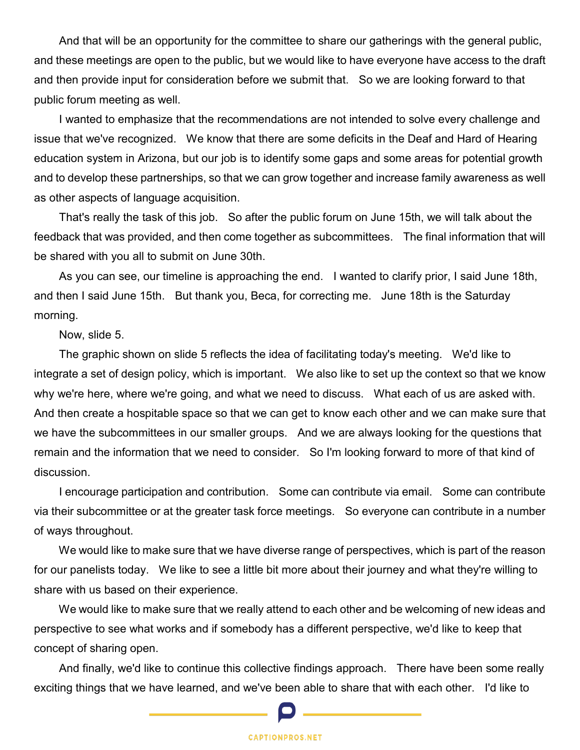And that will be an opportunity for the committee to share our gatherings with the general public, and these meetings are open to the public, but we would like to have everyone have access to the draft and then provide input for consideration before we submit that. So we are looking forward to that public forum meeting as well.

 I wanted to emphasize that the recommendations are not intended to solve every challenge and issue that we've recognized. We know that there are some deficits in the Deaf and Hard of Hearing education system in Arizona, but our job is to identify some gaps and some areas for potential growth and to develop these partnerships, so that we can grow together and increase family awareness as well as other aspects of language acquisition.

 That's really the task of this job. So after the public forum on June 15th, we will talk about the feedback that was provided, and then come together as subcommittees. The final information that will be shared with you all to submit on June 30th.

 As you can see, our timeline is approaching the end. I wanted to clarify prior, I said June 18th, and then I said June 15th. But thank you, Beca, for correcting me. June 18th is the Saturday morning.

Now, slide 5.

 The graphic shown on slide 5 reflects the idea of facilitating today's meeting. We'd like to integrate a set of design policy, which is important. We also like to set up the context so that we know why we're here, where we're going, and what we need to discuss. What each of us are asked with. And then create a hospitable space so that we can get to know each other and we can make sure that we have the subcommittees in our smaller groups. And we are always looking for the questions that remain and the information that we need to consider. So I'm looking forward to more of that kind of discussion.

 I encourage participation and contribution. Some can contribute via email. Some can contribute via their subcommittee or at the greater task force meetings. So everyone can contribute in a number of ways throughout.

 We would like to make sure that we have diverse range of perspectives, which is part of the reason for our panelists today. We like to see a little bit more about their journey and what they're willing to share with us based on their experience.

 We would like to make sure that we really attend to each other and be welcoming of new ideas and perspective to see what works and if somebody has a different perspective, we'd like to keep that concept of sharing open.

 And finally, we'd like to continue this collective findings approach. There have been some really exciting things that we have learned, and we've been able to share that with each other. I'd like to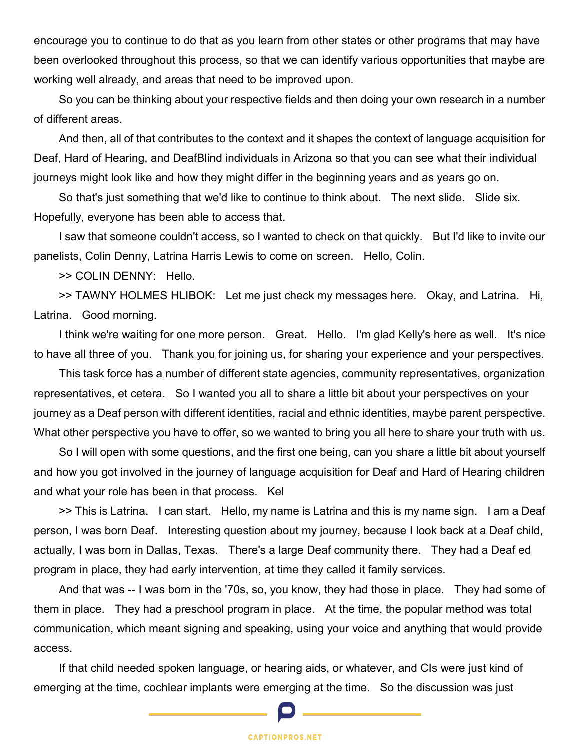encourage you to continue to do that as you learn from other states or other programs that may have been overlooked throughout this process, so that we can identify various opportunities that maybe are working well already, and areas that need to be improved upon.

 So you can be thinking about your respective fields and then doing your own research in a number of different areas.

 And then, all of that contributes to the context and it shapes the context of language acquisition for Deaf, Hard of Hearing, and DeafBlind individuals in Arizona so that you can see what their individual journeys might look like and how they might differ in the beginning years and as years go on.

 So that's just something that we'd like to continue to think about. The next slide. Slide six. Hopefully, everyone has been able to access that.

 I saw that someone couldn't access, so I wanted to check on that quickly. But I'd like to invite our panelists, Colin Denny, Latrina Harris Lewis to come on screen. Hello, Colin.

>> COLIN DENNY: Hello.

 >> TAWNY HOLMES HLIBOK: Let me just check my messages here. Okay, and Latrina. Hi, Latrina. Good morning.

 I think we're waiting for one more person. Great. Hello. I'm glad Kelly's here as well. It's nice to have all three of you. Thank you for joining us, for sharing your experience and your perspectives.

 This task force has a number of different state agencies, community representatives, organization representatives, et cetera. So I wanted you all to share a little bit about your perspectives on your journey as a Deaf person with different identities, racial and ethnic identities, maybe parent perspective. What other perspective you have to offer, so we wanted to bring you all here to share your truth with us.

 So I will open with some questions, and the first one being, can you share a little bit about yourself and how you got involved in the journey of language acquisition for Deaf and Hard of Hearing children and what your role has been in that process. Kel

 >> This is Latrina. I can start. Hello, my name is Latrina and this is my name sign. I am a Deaf person, I was born Deaf. Interesting question about my journey, because I look back at a Deaf child, actually, I was born in Dallas, Texas. There's a large Deaf community there. They had a Deaf ed program in place, they had early intervention, at time they called it family services.

 And that was -- I was born in the '70s, so, you know, they had those in place. They had some of them in place. They had a preschool program in place. At the time, the popular method was total communication, which meant signing and speaking, using your voice and anything that would provide access.

 If that child needed spoken language, or hearing aids, or whatever, and CIs were just kind of emerging at the time, cochlear implants were emerging at the time. So the discussion was just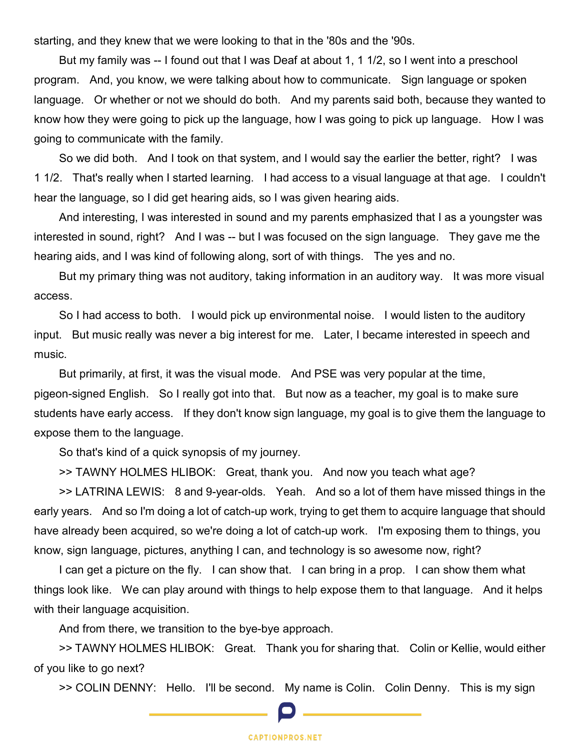starting, and they knew that we were looking to that in the '80s and the '90s.

 But my family was -- I found out that I was Deaf at about 1, 1 1/2, so I went into a preschool program. And, you know, we were talking about how to communicate. Sign language or spoken language. Or whether or not we should do both. And my parents said both, because they wanted to know how they were going to pick up the language, how I was going to pick up language. How I was going to communicate with the family.

 So we did both. And I took on that system, and I would say the earlier the better, right? I was 1 1/2. That's really when I started learning. I had access to a visual language at that age. I couldn't hear the language, so I did get hearing aids, so I was given hearing aids.

 And interesting, I was interested in sound and my parents emphasized that I as a youngster was interested in sound, right? And I was -- but I was focused on the sign language. They gave me the hearing aids, and I was kind of following along, sort of with things. The yes and no.

But my primary thing was not auditory, taking information in an auditory way. It was more visual access.

 So I had access to both. I would pick up environmental noise. I would listen to the auditory input. But music really was never a big interest for me. Later, I became interested in speech and music.

 But primarily, at first, it was the visual mode. And PSE was very popular at the time, pigeon-signed English. So I really got into that. But now as a teacher, my goal is to make sure students have early access. If they don't know sign language, my goal is to give them the language to expose them to the language.

So that's kind of a quick synopsis of my journey.

>> TAWNY HOLMES HLIBOK: Great, thank you. And now you teach what age?

 >> LATRINA LEWIS: 8 and 9-year-olds. Yeah. And so a lot of them have missed things in the early years. And so I'm doing a lot of catch-up work, trying to get them to acquire language that should have already been acquired, so we're doing a lot of catch-up work. I'm exposing them to things, you know, sign language, pictures, anything I can, and technology is so awesome now, right?

 I can get a picture on the fly. I can show that. I can bring in a prop. I can show them what things look like. We can play around with things to help expose them to that language. And it helps with their language acquisition.

And from there, we transition to the bye-bye approach.

 >> TAWNY HOLMES HLIBOK: Great. Thank you for sharing that. Colin or Kellie, would either of you like to go next?

>> COLIN DENNY: Hello. I'll be second. My name is Colin. Colin Denny. This is my sign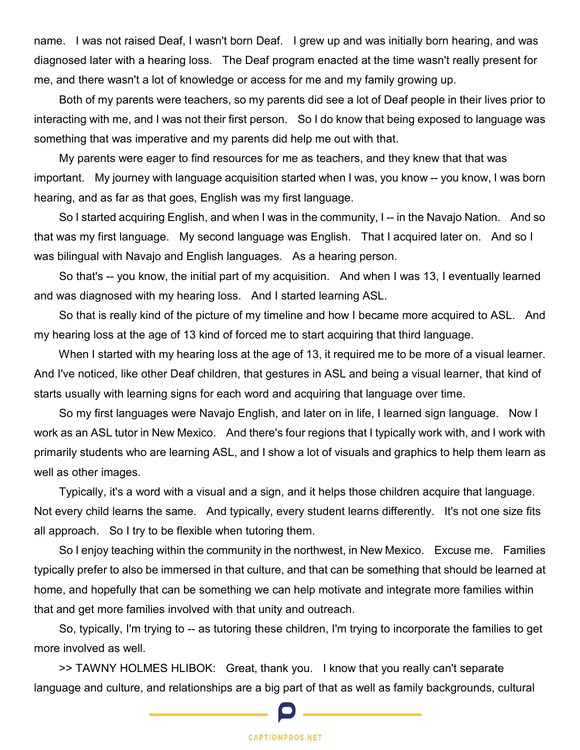name. I was not raised Deaf, I wasn't born Deaf. I grew up and was initially born hearing, and was diagnosed later with a hearing loss. The Deaf program enacted at the time wasn't really present for me, and there wasn't a lot of knowledge or access for me and my family growing up.

 Both of my parents were teachers, so my parents did see a lot of Deaf people in their lives prior to interacting with me, and I was not their first person. So I do know that being exposed to language was something that was imperative and my parents did help me out with that.

 My parents were eager to find resources for me as teachers, and they knew that that was important. My journey with language acquisition started when I was, you know -- you know, I was born hearing, and as far as that goes, English was my first language.

 So I started acquiring English, and when I was in the community, I -- in the Navajo Nation. And so that was my first language. My second language was English. That I acquired later on. And so I was bilingual with Navajo and English languages. As a hearing person.

 So that's -- you know, the initial part of my acquisition. And when I was 13, I eventually learned and was diagnosed with my hearing loss. And I started learning ASL.

 So that is really kind of the picture of my timeline and how I became more acquired to ASL. And my hearing loss at the age of 13 kind of forced me to start acquiring that third language.

 When I started with my hearing loss at the age of 13, it required me to be more of a visual learner. And I've noticed, like other Deaf children, that gestures in ASL and being a visual learner, that kind of starts usually with learning signs for each word and acquiring that language over time.

 So my first languages were Navajo English, and later on in life, I learned sign language. Now I work as an ASL tutor in New Mexico. And there's four regions that I typically work with, and I work with primarily students who are learning ASL, and I show a lot of visuals and graphics to help them learn as well as other images.

 Typically, it's a word with a visual and a sign, and it helps those children acquire that language. Not every child learns the same. And typically, every student learns differently. It's not one size fits all approach. So I try to be flexible when tutoring them.

 So I enjoy teaching within the community in the northwest, in New Mexico. Excuse me. Families typically prefer to also be immersed in that culture, and that can be something that should be learned at home, and hopefully that can be something we can help motivate and integrate more families within that and get more families involved with that unity and outreach.

 So, typically, I'm trying to -- as tutoring these children, I'm trying to incorporate the families to get more involved as well.

 >> TAWNY HOLMES HLIBOK: Great, thank you. I know that you really can't separate language and culture, and relationships are a big part of that as well as family backgrounds, cultural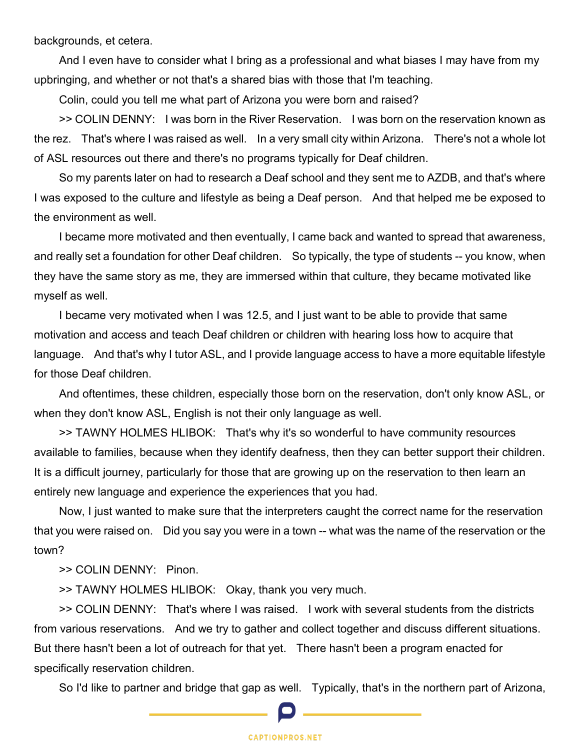backgrounds, et cetera.

 And I even have to consider what I bring as a professional and what biases I may have from my upbringing, and whether or not that's a shared bias with those that I'm teaching.

Colin, could you tell me what part of Arizona you were born and raised?

 >> COLIN DENNY: I was born in the River Reservation. I was born on the reservation known as the rez. That's where I was raised as well. In a very small city within Arizona. There's not a whole lot of ASL resources out there and there's no programs typically for Deaf children.

 So my parents later on had to research a Deaf school and they sent me to AZDB, and that's where I was exposed to the culture and lifestyle as being a Deaf person. And that helped me be exposed to the environment as well.

 I became more motivated and then eventually, I came back and wanted to spread that awareness, and really set a foundation for other Deaf children. So typically, the type of students -- you know, when they have the same story as me, they are immersed within that culture, they became motivated like myself as well.

 I became very motivated when I was 12.5, and I just want to be able to provide that same motivation and access and teach Deaf children or children with hearing loss how to acquire that language. And that's why I tutor ASL, and I provide language access to have a more equitable lifestyle for those Deaf children.

 And oftentimes, these children, especially those born on the reservation, don't only know ASL, or when they don't know ASL, English is not their only language as well.

 >> TAWNY HOLMES HLIBOK: That's why it's so wonderful to have community resources available to families, because when they identify deafness, then they can better support their children. It is a difficult journey, particularly for those that are growing up on the reservation to then learn an entirely new language and experience the experiences that you had.

 Now, I just wanted to make sure that the interpreters caught the correct name for the reservation that you were raised on. Did you say you were in a town -- what was the name of the reservation or the town?

>> COLIN DENNY: Pinon.

>> TAWNY HOLMES HLIBOK: Okay, thank you very much.

 >> COLIN DENNY: That's where I was raised. I work with several students from the districts from various reservations. And we try to gather and collect together and discuss different situations. But there hasn't been a lot of outreach for that yet. There hasn't been a program enacted for specifically reservation children.

So I'd like to partner and bridge that gap as well. Typically, that's in the northern part of Arizona,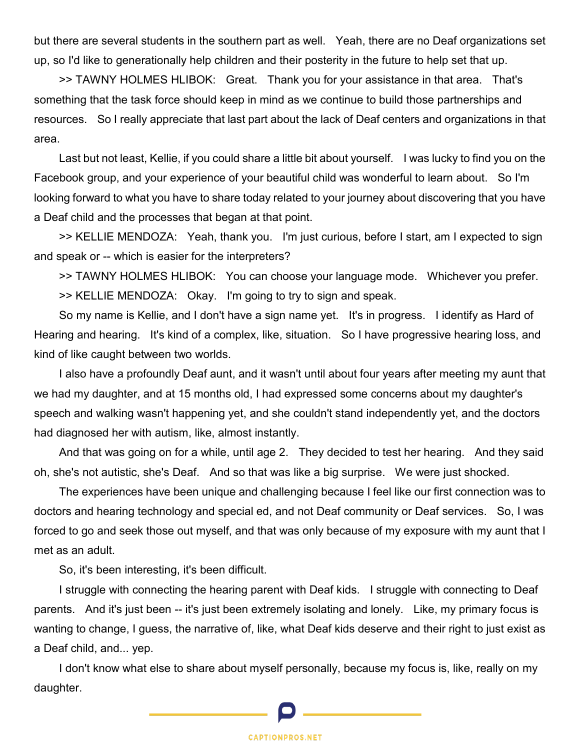but there are several students in the southern part as well. Yeah, there are no Deaf organizations set up, so I'd like to generationally help children and their posterity in the future to help set that up.

 >> TAWNY HOLMES HLIBOK: Great. Thank you for your assistance in that area. That's something that the task force should keep in mind as we continue to build those partnerships and resources. So I really appreciate that last part about the lack of Deaf centers and organizations in that area.

 Last but not least, Kellie, if you could share a little bit about yourself. I was lucky to find you on the Facebook group, and your experience of your beautiful child was wonderful to learn about. So I'm looking forward to what you have to share today related to your journey about discovering that you have a Deaf child and the processes that began at that point.

 >> KELLIE MENDOZA: Yeah, thank you. I'm just curious, before I start, am I expected to sign and speak or -- which is easier for the interpreters?

 >> TAWNY HOLMES HLIBOK: You can choose your language mode. Whichever you prefer. >> KELLIE MENDOZA: Okay. I'm going to try to sign and speak.

 So my name is Kellie, and I don't have a sign name yet. It's in progress. I identify as Hard of Hearing and hearing. It's kind of a complex, like, situation. So I have progressive hearing loss, and kind of like caught between two worlds.

 I also have a profoundly Deaf aunt, and it wasn't until about four years after meeting my aunt that we had my daughter, and at 15 months old, I had expressed some concerns about my daughter's speech and walking wasn't happening yet, and she couldn't stand independently yet, and the doctors had diagnosed her with autism, like, almost instantly.

 And that was going on for a while, until age 2. They decided to test her hearing. And they said oh, she's not autistic, she's Deaf. And so that was like a big surprise. We were just shocked.

 The experiences have been unique and challenging because I feel like our first connection was to doctors and hearing technology and special ed, and not Deaf community or Deaf services. So, I was forced to go and seek those out myself, and that was only because of my exposure with my aunt that I met as an adult.

So, it's been interesting, it's been difficult.

 I struggle with connecting the hearing parent with Deaf kids. I struggle with connecting to Deaf parents. And it's just been -- it's just been extremely isolating and lonely. Like, my primary focus is wanting to change, I guess, the narrative of, like, what Deaf kids deserve and their right to just exist as a Deaf child, and... yep.

 I don't know what else to share about myself personally, because my focus is, like, really on my daughter.

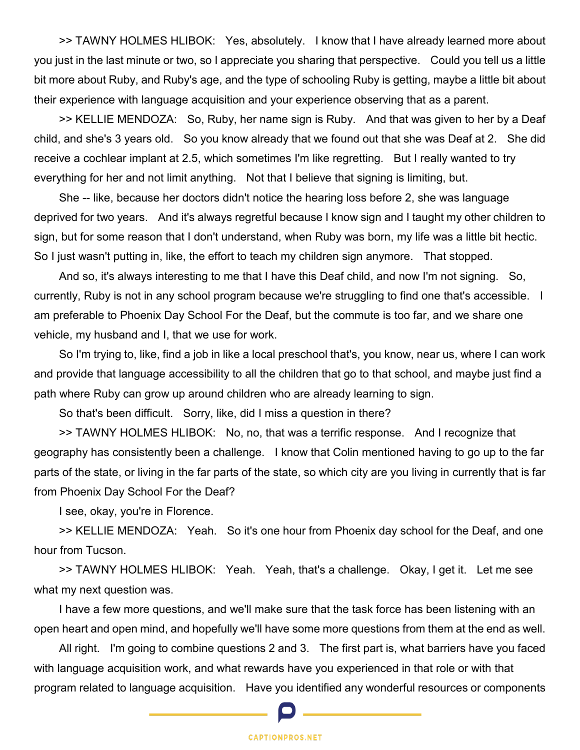>> TAWNY HOLMES HLIBOK: Yes, absolutely. I know that I have already learned more about you just in the last minute or two, so I appreciate you sharing that perspective. Could you tell us a little bit more about Ruby, and Ruby's age, and the type of schooling Ruby is getting, maybe a little bit about their experience with language acquisition and your experience observing that as a parent.

 >> KELLIE MENDOZA: So, Ruby, her name sign is Ruby. And that was given to her by a Deaf child, and she's 3 years old. So you know already that we found out that she was Deaf at 2. She did receive a cochlear implant at 2.5, which sometimes I'm like regretting. But I really wanted to try everything for her and not limit anything. Not that I believe that signing is limiting, but.

 She -- like, because her doctors didn't notice the hearing loss before 2, she was language deprived for two years. And it's always regretful because I know sign and I taught my other children to sign, but for some reason that I don't understand, when Ruby was born, my life was a little bit hectic. So I just wasn't putting in, like, the effort to teach my children sign anymore. That stopped.

 And so, it's always interesting to me that I have this Deaf child, and now I'm not signing. So, currently, Ruby is not in any school program because we're struggling to find one that's accessible. I am preferable to Phoenix Day School For the Deaf, but the commute is too far, and we share one vehicle, my husband and I, that we use for work.

 So I'm trying to, like, find a job in like a local preschool that's, you know, near us, where I can work and provide that language accessibility to all the children that go to that school, and maybe just find a path where Ruby can grow up around children who are already learning to sign.

So that's been difficult. Sorry, like, did I miss a question in there?

 >> TAWNY HOLMES HLIBOK: No, no, that was a terrific response. And I recognize that geography has consistently been a challenge. I know that Colin mentioned having to go up to the far parts of the state, or living in the far parts of the state, so which city are you living in currently that is far from Phoenix Day School For the Deaf?

I see, okay, you're in Florence.

 >> KELLIE MENDOZA: Yeah. So it's one hour from Phoenix day school for the Deaf, and one hour from Tucson.

 >> TAWNY HOLMES HLIBOK: Yeah. Yeah, that's a challenge. Okay, I get it. Let me see what my next question was.

 I have a few more questions, and we'll make sure that the task force has been listening with an open heart and open mind, and hopefully we'll have some more questions from them at the end as well.

 All right. I'm going to combine questions 2 and 3. The first part is, what barriers have you faced with language acquisition work, and what rewards have you experienced in that role or with that program related to language acquisition. Have you identified any wonderful resources or components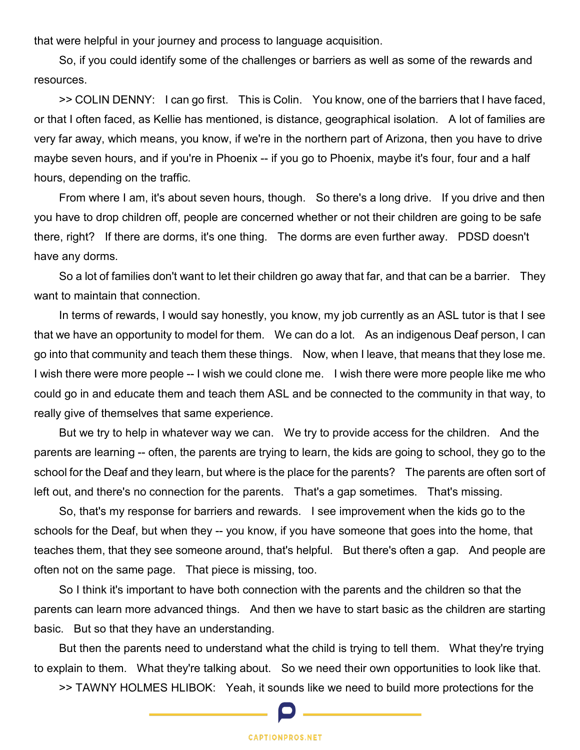that were helpful in your journey and process to language acquisition.

 So, if you could identify some of the challenges or barriers as well as some of the rewards and resources.

 >> COLIN DENNY: I can go first. This is Colin. You know, one of the barriers that I have faced, or that I often faced, as Kellie has mentioned, is distance, geographical isolation. A lot of families are very far away, which means, you know, if we're in the northern part of Arizona, then you have to drive maybe seven hours, and if you're in Phoenix -- if you go to Phoenix, maybe it's four, four and a half hours, depending on the traffic.

 From where I am, it's about seven hours, though. So there's a long drive. If you drive and then you have to drop children off, people are concerned whether or not their children are going to be safe there, right? If there are dorms, it's one thing. The dorms are even further away. PDSD doesn't have any dorms.

 So a lot of families don't want to let their children go away that far, and that can be a barrier. They want to maintain that connection.

 In terms of rewards, I would say honestly, you know, my job currently as an ASL tutor is that I see that we have an opportunity to model for them. We can do a lot. As an indigenous Deaf person, I can go into that community and teach them these things. Now, when I leave, that means that they lose me. I wish there were more people -- I wish we could clone me. I wish there were more people like me who could go in and educate them and teach them ASL and be connected to the community in that way, to really give of themselves that same experience.

 But we try to help in whatever way we can. We try to provide access for the children. And the parents are learning -- often, the parents are trying to learn, the kids are going to school, they go to the school for the Deaf and they learn, but where is the place for the parents? The parents are often sort of left out, and there's no connection for the parents. That's a gap sometimes. That's missing.

 So, that's my response for barriers and rewards. I see improvement when the kids go to the schools for the Deaf, but when they -- you know, if you have someone that goes into the home, that teaches them, that they see someone around, that's helpful. But there's often a gap. And people are often not on the same page. That piece is missing, too.

 So I think it's important to have both connection with the parents and the children so that the parents can learn more advanced things. And then we have to start basic as the children are starting basic. But so that they have an understanding.

 But then the parents need to understand what the child is trying to tell them. What they're trying to explain to them. What they're talking about. So we need their own opportunities to look like that.

>> TAWNY HOLMES HLIBOK: Yeah, it sounds like we need to build more protections for the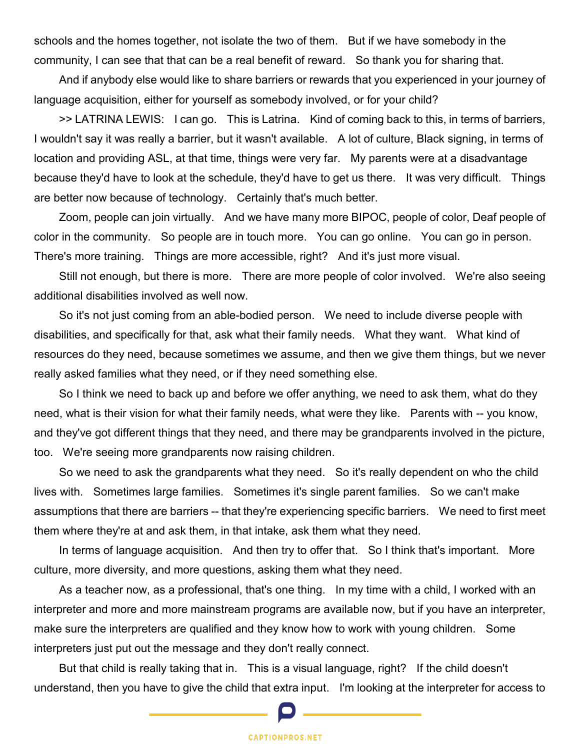schools and the homes together, not isolate the two of them. But if we have somebody in the community, I can see that that can be a real benefit of reward. So thank you for sharing that.

 And if anybody else would like to share barriers or rewards that you experienced in your journey of language acquisition, either for yourself as somebody involved, or for your child?

 >> LATRINA LEWIS: I can go. This is Latrina. Kind of coming back to this, in terms of barriers, I wouldn't say it was really a barrier, but it wasn't available. A lot of culture, Black signing, in terms of location and providing ASL, at that time, things were very far. My parents were at a disadvantage because they'd have to look at the schedule, they'd have to get us there. It was very difficult. Things are better now because of technology. Certainly that's much better.

 Zoom, people can join virtually. And we have many more BIPOC, people of color, Deaf people of color in the community. So people are in touch more. You can go online. You can go in person. There's more training. Things are more accessible, right? And it's just more visual.

 Still not enough, but there is more. There are more people of color involved. We're also seeing additional disabilities involved as well now.

 So it's not just coming from an able-bodied person. We need to include diverse people with disabilities, and specifically for that, ask what their family needs. What they want. What kind of resources do they need, because sometimes we assume, and then we give them things, but we never really asked families what they need, or if they need something else.

 So I think we need to back up and before we offer anything, we need to ask them, what do they need, what is their vision for what their family needs, what were they like. Parents with -- you know, and they've got different things that they need, and there may be grandparents involved in the picture, too. We're seeing more grandparents now raising children.

 So we need to ask the grandparents what they need. So it's really dependent on who the child lives with. Sometimes large families. Sometimes it's single parent families. So we can't make assumptions that there are barriers -- that they're experiencing specific barriers. We need to first meet them where they're at and ask them, in that intake, ask them what they need.

In terms of language acquisition. And then try to offer that. So I think that's important. More culture, more diversity, and more questions, asking them what they need.

 As a teacher now, as a professional, that's one thing. In my time with a child, I worked with an interpreter and more and more mainstream programs are available now, but if you have an interpreter, make sure the interpreters are qualified and they know how to work with young children. Some interpreters just put out the message and they don't really connect.

 But that child is really taking that in. This is a visual language, right? If the child doesn't understand, then you have to give the child that extra input. I'm looking at the interpreter for access to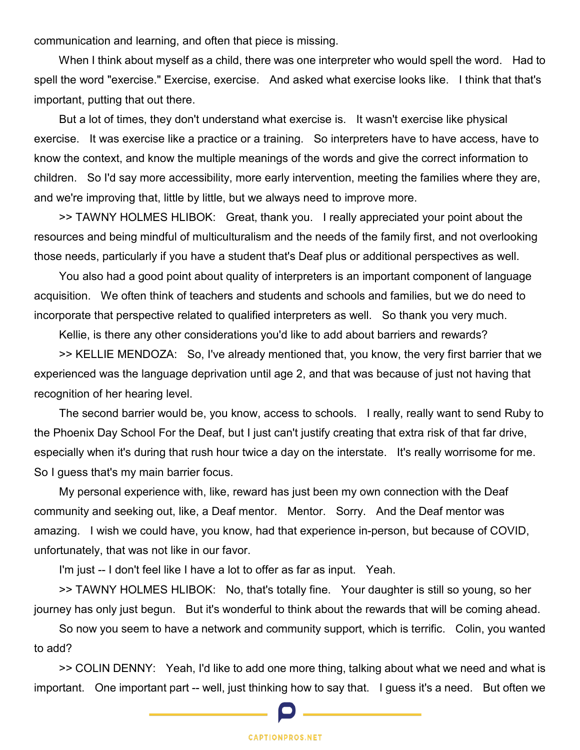communication and learning, and often that piece is missing.

 When I think about myself as a child, there was one interpreter who would spell the word. Had to spell the word "exercise." Exercise, exercise. And asked what exercise looks like. I think that that's important, putting that out there.

 But a lot of times, they don't understand what exercise is. It wasn't exercise like physical exercise. It was exercise like a practice or a training. So interpreters have to have access, have to know the context, and know the multiple meanings of the words and give the correct information to children. So I'd say more accessibility, more early intervention, meeting the families where they are, and we're improving that, little by little, but we always need to improve more.

 >> TAWNY HOLMES HLIBOK: Great, thank you. I really appreciated your point about the resources and being mindful of multiculturalism and the needs of the family first, and not overlooking those needs, particularly if you have a student that's Deaf plus or additional perspectives as well.

 You also had a good point about quality of interpreters is an important component of language acquisition. We often think of teachers and students and schools and families, but we do need to incorporate that perspective related to qualified interpreters as well. So thank you very much.

Kellie, is there any other considerations you'd like to add about barriers and rewards?

 >> KELLIE MENDOZA: So, I've already mentioned that, you know, the very first barrier that we experienced was the language deprivation until age 2, and that was because of just not having that recognition of her hearing level.

 The second barrier would be, you know, access to schools. I really, really want to send Ruby to the Phoenix Day School For the Deaf, but I just can't justify creating that extra risk of that far drive, especially when it's during that rush hour twice a day on the interstate. It's really worrisome for me. So I guess that's my main barrier focus.

 My personal experience with, like, reward has just been my own connection with the Deaf community and seeking out, like, a Deaf mentor. Mentor. Sorry. And the Deaf mentor was amazing. I wish we could have, you know, had that experience in-person, but because of COVID, unfortunately, that was not like in our favor.

I'm just -- I don't feel like I have a lot to offer as far as input. Yeah.

 >> TAWNY HOLMES HLIBOK: No, that's totally fine. Your daughter is still so young, so her journey has only just begun. But it's wonderful to think about the rewards that will be coming ahead.

 So now you seem to have a network and community support, which is terrific. Colin, you wanted to add?

 >> COLIN DENNY: Yeah, I'd like to add one more thing, talking about what we need and what is important. One important part -- well, just thinking how to say that. I guess it's a need. But often we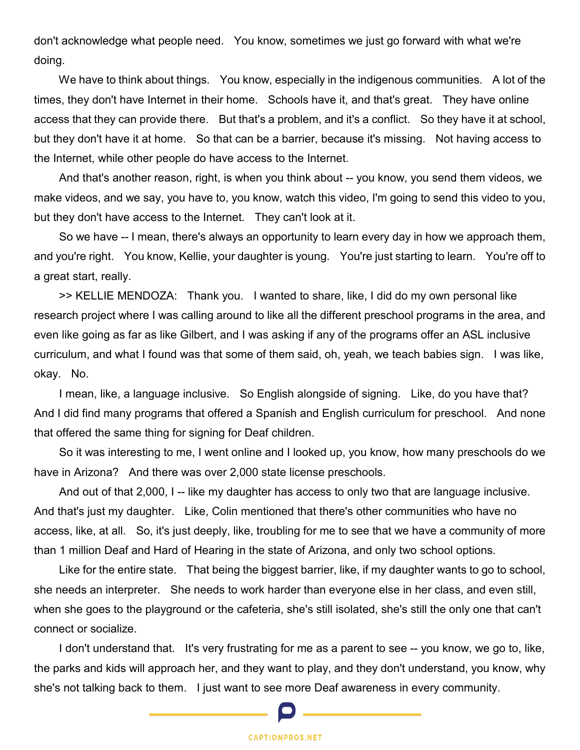don't acknowledge what people need. You know, sometimes we just go forward with what we're doing.

We have to think about things. You know, especially in the indigenous communities. A lot of the times, they don't have Internet in their home. Schools have it, and that's great. They have online access that they can provide there. But that's a problem, and it's a conflict. So they have it at school, but they don't have it at home. So that can be a barrier, because it's missing. Not having access to the Internet, while other people do have access to the Internet.

 And that's another reason, right, is when you think about -- you know, you send them videos, we make videos, and we say, you have to, you know, watch this video, I'm going to send this video to you, but they don't have access to the Internet. They can't look at it.

 So we have -- I mean, there's always an opportunity to learn every day in how we approach them, and you're right. You know, Kellie, your daughter is young. You're just starting to learn. You're off to a great start, really.

 >> KELLIE MENDOZA: Thank you. I wanted to share, like, I did do my own personal like research project where I was calling around to like all the different preschool programs in the area, and even like going as far as like Gilbert, and I was asking if any of the programs offer an ASL inclusive curriculum, and what I found was that some of them said, oh, yeah, we teach babies sign. I was like, okay. No.

 I mean, like, a language inclusive. So English alongside of signing. Like, do you have that? And I did find many programs that offered a Spanish and English curriculum for preschool. And none that offered the same thing for signing for Deaf children.

 So it was interesting to me, I went online and I looked up, you know, how many preschools do we have in Arizona? And there was over 2,000 state license preschools.

 And out of that 2,000, I -- like my daughter has access to only two that are language inclusive. And that's just my daughter. Like, Colin mentioned that there's other communities who have no access, like, at all. So, it's just deeply, like, troubling for me to see that we have a community of more than 1 million Deaf and Hard of Hearing in the state of Arizona, and only two school options.

 Like for the entire state. That being the biggest barrier, like, if my daughter wants to go to school, she needs an interpreter. She needs to work harder than everyone else in her class, and even still, when she goes to the playground or the cafeteria, she's still isolated, she's still the only one that can't connect or socialize.

 I don't understand that. It's very frustrating for me as a parent to see -- you know, we go to, like, the parks and kids will approach her, and they want to play, and they don't understand, you know, why she's not talking back to them. I just want to see more Deaf awareness in every community.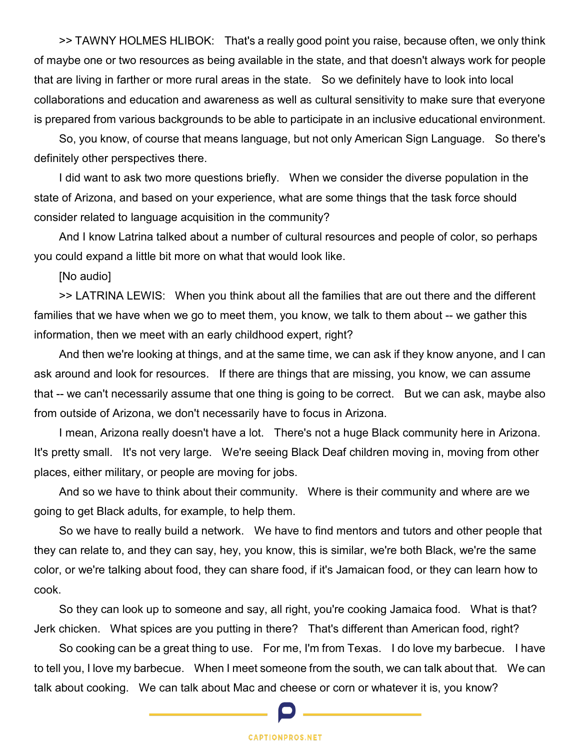>> TAWNY HOLMES HLIBOK: That's a really good point you raise, because often, we only think of maybe one or two resources as being available in the state, and that doesn't always work for people that are living in farther or more rural areas in the state. So we definitely have to look into local collaborations and education and awareness as well as cultural sensitivity to make sure that everyone is prepared from various backgrounds to be able to participate in an inclusive educational environment.

 So, you know, of course that means language, but not only American Sign Language. So there's definitely other perspectives there.

 I did want to ask two more questions briefly. When we consider the diverse population in the state of Arizona, and based on your experience, what are some things that the task force should consider related to language acquisition in the community?

 And I know Latrina talked about a number of cultural resources and people of color, so perhaps you could expand a little bit more on what that would look like.

[No audio]

 >> LATRINA LEWIS: When you think about all the families that are out there and the different families that we have when we go to meet them, you know, we talk to them about -- we gather this information, then we meet with an early childhood expert, right?

 And then we're looking at things, and at the same time, we can ask if they know anyone, and I can ask around and look for resources. If there are things that are missing, you know, we can assume that -- we can't necessarily assume that one thing is going to be correct. But we can ask, maybe also from outside of Arizona, we don't necessarily have to focus in Arizona.

 I mean, Arizona really doesn't have a lot. There's not a huge Black community here in Arizona. It's pretty small. It's not very large. We're seeing Black Deaf children moving in, moving from other places, either military, or people are moving for jobs.

 And so we have to think about their community. Where is their community and where are we going to get Black adults, for example, to help them.

 So we have to really build a network. We have to find mentors and tutors and other people that they can relate to, and they can say, hey, you know, this is similar, we're both Black, we're the same color, or we're talking about food, they can share food, if it's Jamaican food, or they can learn how to cook.

 So they can look up to someone and say, all right, you're cooking Jamaica food. What is that? Jerk chicken. What spices are you putting in there? That's different than American food, right?

 So cooking can be a great thing to use. For me, I'm from Texas. I do love my barbecue. I have to tell you, I love my barbecue. When I meet someone from the south, we can talk about that. We can talk about cooking. We can talk about Mac and cheese or corn or whatever it is, you know?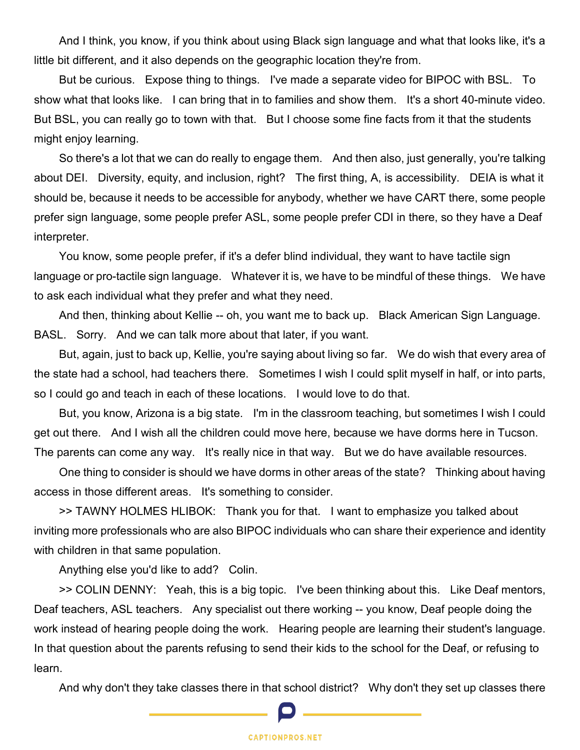And I think, you know, if you think about using Black sign language and what that looks like, it's a little bit different, and it also depends on the geographic location they're from.

 But be curious. Expose thing to things. I've made a separate video for BIPOC with BSL. To show what that looks like. I can bring that in to families and show them. It's a short 40-minute video. But BSL, you can really go to town with that. But I choose some fine facts from it that the students might enjoy learning.

 So there's a lot that we can do really to engage them. And then also, just generally, you're talking about DEI. Diversity, equity, and inclusion, right? The first thing, A, is accessibility. DEIA is what it should be, because it needs to be accessible for anybody, whether we have CART there, some people prefer sign language, some people prefer ASL, some people prefer CDI in there, so they have a Deaf interpreter.

 You know, some people prefer, if it's a defer blind individual, they want to have tactile sign language or pro-tactile sign language. Whatever it is, we have to be mindful of these things. We have to ask each individual what they prefer and what they need.

 And then, thinking about Kellie -- oh, you want me to back up. Black American Sign Language. BASL. Sorry. And we can talk more about that later, if you want.

 But, again, just to back up, Kellie, you're saying about living so far. We do wish that every area of the state had a school, had teachers there. Sometimes I wish I could split myself in half, or into parts, so I could go and teach in each of these locations. I would love to do that.

 But, you know, Arizona is a big state. I'm in the classroom teaching, but sometimes I wish I could get out there. And I wish all the children could move here, because we have dorms here in Tucson. The parents can come any way. It's really nice in that way. But we do have available resources.

 One thing to consider is should we have dorms in other areas of the state? Thinking about having access in those different areas. It's something to consider.

 >> TAWNY HOLMES HLIBOK: Thank you for that. I want to emphasize you talked about inviting more professionals who are also BIPOC individuals who can share their experience and identity with children in that same population.

Anything else you'd like to add? Colin.

 >> COLIN DENNY: Yeah, this is a big topic. I've been thinking about this. Like Deaf mentors, Deaf teachers, ASL teachers. Any specialist out there working -- you know, Deaf people doing the work instead of hearing people doing the work. Hearing people are learning their student's language. In that question about the parents refusing to send their kids to the school for the Deaf, or refusing to learn.

And why don't they take classes there in that school district? Why don't they set up classes there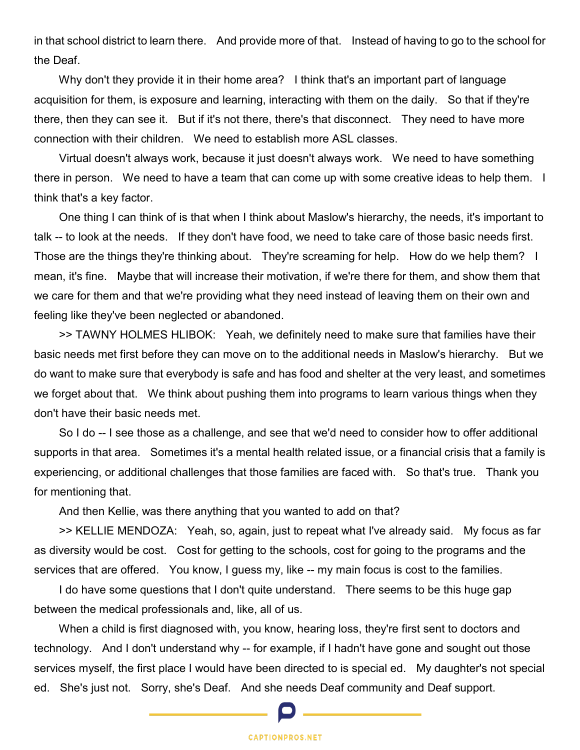in that school district to learn there. And provide more of that. Instead of having to go to the school for the Deaf.

Why don't they provide it in their home area? I think that's an important part of language acquisition for them, is exposure and learning, interacting with them on the daily. So that if they're there, then they can see it. But if it's not there, there's that disconnect. They need to have more connection with their children. We need to establish more ASL classes.

 Virtual doesn't always work, because it just doesn't always work. We need to have something there in person. We need to have a team that can come up with some creative ideas to help them. I think that's a key factor.

 One thing I can think of is that when I think about Maslow's hierarchy, the needs, it's important to talk -- to look at the needs. If they don't have food, we need to take care of those basic needs first. Those are the things they're thinking about. They're screaming for help. How do we help them? I mean, it's fine. Maybe that will increase their motivation, if we're there for them, and show them that we care for them and that we're providing what they need instead of leaving them on their own and feeling like they've been neglected or abandoned.

 >> TAWNY HOLMES HLIBOK: Yeah, we definitely need to make sure that families have their basic needs met first before they can move on to the additional needs in Maslow's hierarchy. But we do want to make sure that everybody is safe and has food and shelter at the very least, and sometimes we forget about that. We think about pushing them into programs to learn various things when they don't have their basic needs met.

 So I do -- I see those as a challenge, and see that we'd need to consider how to offer additional supports in that area. Sometimes it's a mental health related issue, or a financial crisis that a family is experiencing, or additional challenges that those families are faced with. So that's true. Thank you for mentioning that.

And then Kellie, was there anything that you wanted to add on that?

 >> KELLIE MENDOZA: Yeah, so, again, just to repeat what I've already said. My focus as far as diversity would be cost. Cost for getting to the schools, cost for going to the programs and the services that are offered. You know, I guess my, like -- my main focus is cost to the families.

 I do have some questions that I don't quite understand. There seems to be this huge gap between the medical professionals and, like, all of us.

 When a child is first diagnosed with, you know, hearing loss, they're first sent to doctors and technology. And I don't understand why -- for example, if I hadn't have gone and sought out those services myself, the first place I would have been directed to is special ed. My daughter's not special ed. She's just not. Sorry, she's Deaf. And she needs Deaf community and Deaf support.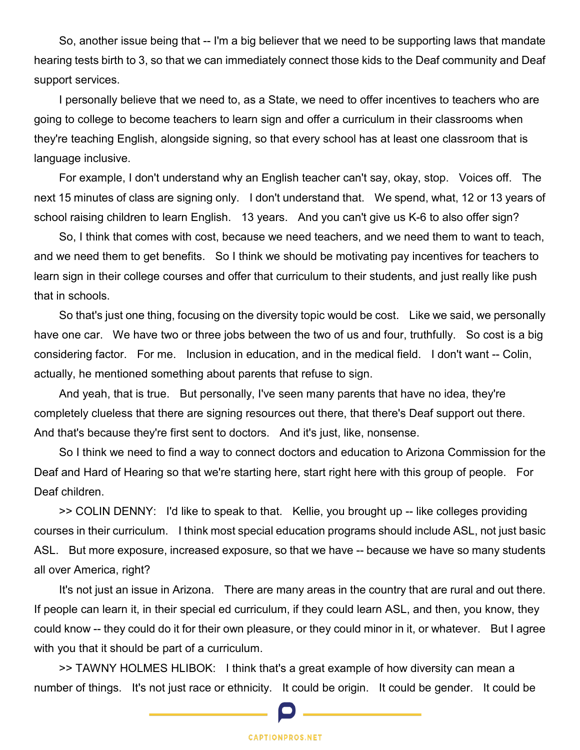So, another issue being that -- I'm a big believer that we need to be supporting laws that mandate hearing tests birth to 3, so that we can immediately connect those kids to the Deaf community and Deaf support services.

 I personally believe that we need to, as a State, we need to offer incentives to teachers who are going to college to become teachers to learn sign and offer a curriculum in their classrooms when they're teaching English, alongside signing, so that every school has at least one classroom that is language inclusive.

 For example, I don't understand why an English teacher can't say, okay, stop. Voices off. The next 15 minutes of class are signing only. I don't understand that. We spend, what, 12 or 13 years of school raising children to learn English. 13 years. And you can't give us K-6 to also offer sign?

 So, I think that comes with cost, because we need teachers, and we need them to want to teach, and we need them to get benefits. So I think we should be motivating pay incentives for teachers to learn sign in their college courses and offer that curriculum to their students, and just really like push that in schools.

 So that's just one thing, focusing on the diversity topic would be cost. Like we said, we personally have one car. We have two or three jobs between the two of us and four, truthfully. So cost is a big considering factor. For me. Inclusion in education, and in the medical field. I don't want -- Colin, actually, he mentioned something about parents that refuse to sign.

 And yeah, that is true. But personally, I've seen many parents that have no idea, they're completely clueless that there are signing resources out there, that there's Deaf support out there. And that's because they're first sent to doctors. And it's just, like, nonsense.

 So I think we need to find a way to connect doctors and education to Arizona Commission for the Deaf and Hard of Hearing so that we're starting here, start right here with this group of people. For Deaf children.

 >> COLIN DENNY: I'd like to speak to that. Kellie, you brought up -- like colleges providing courses in their curriculum. I think most special education programs should include ASL, not just basic ASL. But more exposure, increased exposure, so that we have -- because we have so many students all over America, right?

 It's not just an issue in Arizona. There are many areas in the country that are rural and out there. If people can learn it, in their special ed curriculum, if they could learn ASL, and then, you know, they could know -- they could do it for their own pleasure, or they could minor in it, or whatever. But I agree with you that it should be part of a curriculum.

 >> TAWNY HOLMES HLIBOK: I think that's a great example of how diversity can mean a number of things. It's not just race or ethnicity. It could be origin. It could be gender. It could be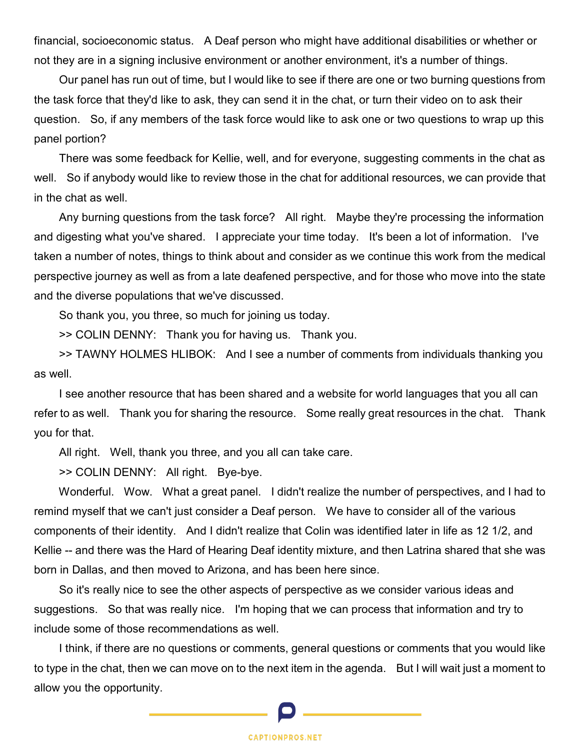financial, socioeconomic status. A Deaf person who might have additional disabilities or whether or not they are in a signing inclusive environment or another environment, it's a number of things.

 Our panel has run out of time, but I would like to see if there are one or two burning questions from the task force that they'd like to ask, they can send it in the chat, or turn their video on to ask their question. So, if any members of the task force would like to ask one or two questions to wrap up this panel portion?

 There was some feedback for Kellie, well, and for everyone, suggesting comments in the chat as well. So if anybody would like to review those in the chat for additional resources, we can provide that in the chat as well.

 Any burning questions from the task force? All right. Maybe they're processing the information and digesting what you've shared. I appreciate your time today. It's been a lot of information. I've taken a number of notes, things to think about and consider as we continue this work from the medical perspective journey as well as from a late deafened perspective, and for those who move into the state and the diverse populations that we've discussed.

So thank you, you three, so much for joining us today.

>> COLIN DENNY: Thank you for having us. Thank you.

 >> TAWNY HOLMES HLIBOK: And I see a number of comments from individuals thanking you as well.

 I see another resource that has been shared and a website for world languages that you all can refer to as well. Thank you for sharing the resource. Some really great resources in the chat. Thank you for that.

All right. Well, thank you three, and you all can take care.

>> COLIN DENNY: All right. Bye-bye.

 Wonderful. Wow. What a great panel. I didn't realize the number of perspectives, and I had to remind myself that we can't just consider a Deaf person. We have to consider all of the various components of their identity. And I didn't realize that Colin was identified later in life as 12 1/2, and Kellie -- and there was the Hard of Hearing Deaf identity mixture, and then Latrina shared that she was born in Dallas, and then moved to Arizona, and has been here since.

 So it's really nice to see the other aspects of perspective as we consider various ideas and suggestions. So that was really nice. I'm hoping that we can process that information and try to include some of those recommendations as well.

 I think, if there are no questions or comments, general questions or comments that you would like to type in the chat, then we can move on to the next item in the agenda. But I will wait just a moment to allow you the opportunity.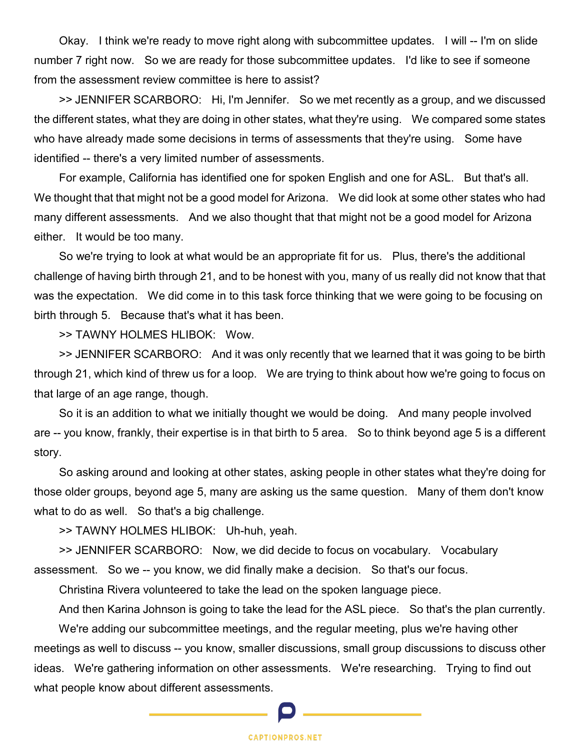Okay. I think we're ready to move right along with subcommittee updates. I will -- I'm on slide number 7 right now. So we are ready for those subcommittee updates. I'd like to see if someone from the assessment review committee is here to assist?

 >> JENNIFER SCARBORO: Hi, I'm Jennifer. So we met recently as a group, and we discussed the different states, what they are doing in other states, what they're using. We compared some states who have already made some decisions in terms of assessments that they're using. Some have identified -- there's a very limited number of assessments.

 For example, California has identified one for spoken English and one for ASL. But that's all. We thought that that might not be a good model for Arizona. We did look at some other states who had many different assessments. And we also thought that that might not be a good model for Arizona either. It would be too many.

 So we're trying to look at what would be an appropriate fit for us. Plus, there's the additional challenge of having birth through 21, and to be honest with you, many of us really did not know that that was the expectation. We did come in to this task force thinking that we were going to be focusing on birth through 5. Because that's what it has been.

>> TAWNY HOLMES HLIBOK: Wow.

 >> JENNIFER SCARBORO: And it was only recently that we learned that it was going to be birth through 21, which kind of threw us for a loop. We are trying to think about how we're going to focus on that large of an age range, though.

 So it is an addition to what we initially thought we would be doing. And many people involved are -- you know, frankly, their expertise is in that birth to 5 area. So to think beyond age 5 is a different story.

 So asking around and looking at other states, asking people in other states what they're doing for those older groups, beyond age 5, many are asking us the same question. Many of them don't know what to do as well. So that's a big challenge.

>> TAWNY HOLMES HLIBOK: Uh-huh, yeah.

 >> JENNIFER SCARBORO: Now, we did decide to focus on vocabulary. Vocabulary assessment. So we -- you know, we did finally make a decision. So that's our focus.

Christina Rivera volunteered to take the lead on the spoken language piece.

And then Karina Johnson is going to take the lead for the ASL piece. So that's the plan currently.

 We're adding our subcommittee meetings, and the regular meeting, plus we're having other meetings as well to discuss -- you know, smaller discussions, small group discussions to discuss other ideas. We're gathering information on other assessments. We're researching. Trying to find out what people know about different assessments.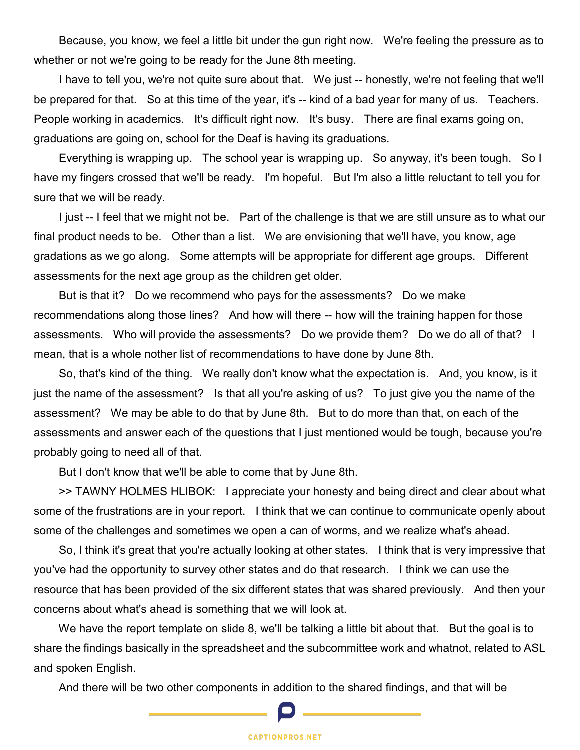Because, you know, we feel a little bit under the gun right now. We're feeling the pressure as to whether or not we're going to be ready for the June 8th meeting.

 I have to tell you, we're not quite sure about that. We just -- honestly, we're not feeling that we'll be prepared for that. So at this time of the year, it's -- kind of a bad year for many of us. Teachers. People working in academics. It's difficult right now. It's busy. There are final exams going on, graduations are going on, school for the Deaf is having its graduations.

 Everything is wrapping up. The school year is wrapping up. So anyway, it's been tough. So I have my fingers crossed that we'll be ready. I'm hopeful. But I'm also a little reluctant to tell you for sure that we will be ready.

 I just -- I feel that we might not be. Part of the challenge is that we are still unsure as to what our final product needs to be. Other than a list. We are envisioning that we'll have, you know, age gradations as we go along. Some attempts will be appropriate for different age groups. Different assessments for the next age group as the children get older.

 But is that it? Do we recommend who pays for the assessments? Do we make recommendations along those lines? And how will there -- how will the training happen for those assessments. Who will provide the assessments? Do we provide them? Do we do all of that? I mean, that is a whole nother list of recommendations to have done by June 8th.

 So, that's kind of the thing. We really don't know what the expectation is. And, you know, is it just the name of the assessment? Is that all you're asking of us? To just give you the name of the assessment? We may be able to do that by June 8th. But to do more than that, on each of the assessments and answer each of the questions that I just mentioned would be tough, because you're probably going to need all of that.

But I don't know that we'll be able to come that by June 8th.

 >> TAWNY HOLMES HLIBOK: I appreciate your honesty and being direct and clear about what some of the frustrations are in your report. I think that we can continue to communicate openly about some of the challenges and sometimes we open a can of worms, and we realize what's ahead.

 So, I think it's great that you're actually looking at other states. I think that is very impressive that you've had the opportunity to survey other states and do that research. I think we can use the resource that has been provided of the six different states that was shared previously. And then your concerns about what's ahead is something that we will look at.

We have the report template on slide 8, we'll be talking a little bit about that. But the goal is to share the findings basically in the spreadsheet and the subcommittee work and whatnot, related to ASL and spoken English.

And there will be two other components in addition to the shared findings, and that will be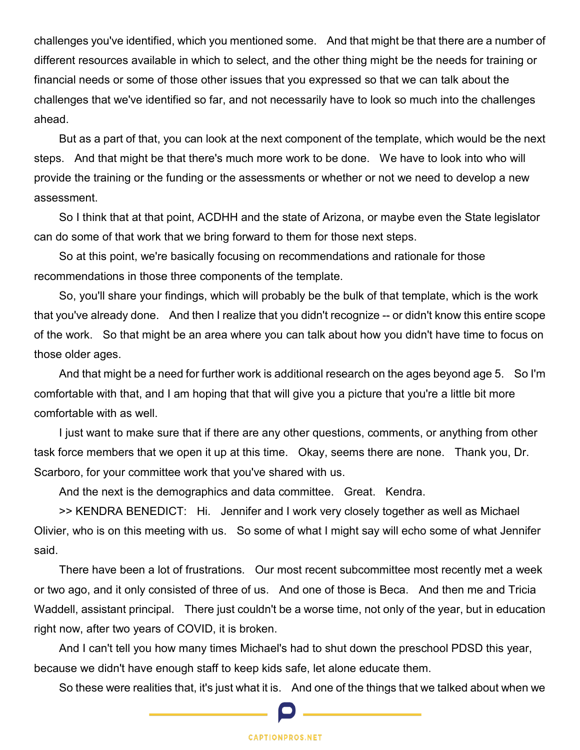challenges you've identified, which you mentioned some. And that might be that there are a number of different resources available in which to select, and the other thing might be the needs for training or financial needs or some of those other issues that you expressed so that we can talk about the challenges that we've identified so far, and not necessarily have to look so much into the challenges ahead.

 But as a part of that, you can look at the next component of the template, which would be the next steps. And that might be that there's much more work to be done. We have to look into who will provide the training or the funding or the assessments or whether or not we need to develop a new assessment.

 So I think that at that point, ACDHH and the state of Arizona, or maybe even the State legislator can do some of that work that we bring forward to them for those next steps.

 So at this point, we're basically focusing on recommendations and rationale for those recommendations in those three components of the template.

 So, you'll share your findings, which will probably be the bulk of that template, which is the work that you've already done. And then I realize that you didn't recognize -- or didn't know this entire scope of the work. So that might be an area where you can talk about how you didn't have time to focus on those older ages.

 And that might be a need for further work is additional research on the ages beyond age 5. So I'm comfortable with that, and I am hoping that that will give you a picture that you're a little bit more comfortable with as well.

 I just want to make sure that if there are any other questions, comments, or anything from other task force members that we open it up at this time. Okay, seems there are none. Thank you, Dr. Scarboro, for your committee work that you've shared with us.

And the next is the demographics and data committee. Great. Kendra.

 >> KENDRA BENEDICT: Hi. Jennifer and I work very closely together as well as Michael Olivier, who is on this meeting with us. So some of what I might say will echo some of what Jennifer said.

 There have been a lot of frustrations. Our most recent subcommittee most recently met a week or two ago, and it only consisted of three of us. And one of those is Beca. And then me and Tricia Waddell, assistant principal. There just couldn't be a worse time, not only of the year, but in education right now, after two years of COVID, it is broken.

 And I can't tell you how many times Michael's had to shut down the preschool PDSD this year, because we didn't have enough staff to keep kids safe, let alone educate them.

So these were realities that, it's just what it is. And one of the things that we talked about when we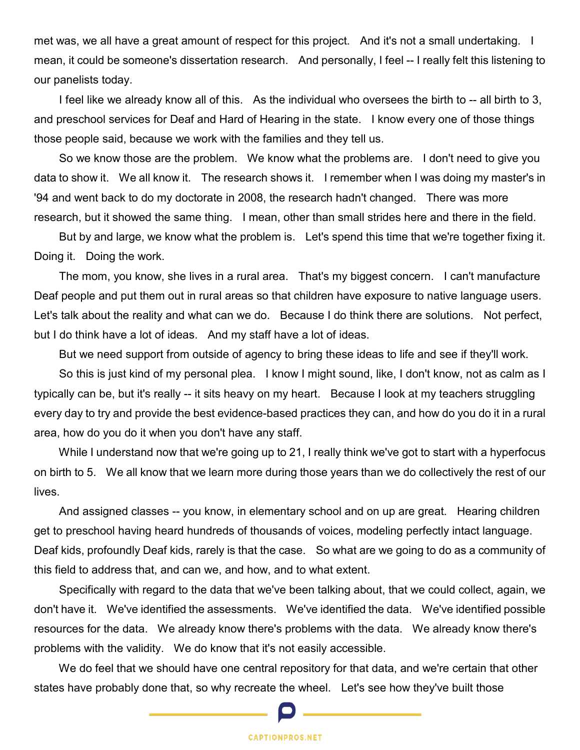met was, we all have a great amount of respect for this project. And it's not a small undertaking. I mean, it could be someone's dissertation research. And personally, I feel -- I really felt this listening to our panelists today.

 I feel like we already know all of this. As the individual who oversees the birth to -- all birth to 3, and preschool services for Deaf and Hard of Hearing in the state. I know every one of those things those people said, because we work with the families and they tell us.

 So we know those are the problem. We know what the problems are. I don't need to give you data to show it. We all know it. The research shows it. I remember when I was doing my master's in '94 and went back to do my doctorate in 2008, the research hadn't changed. There was more research, but it showed the same thing. I mean, other than small strides here and there in the field.

 But by and large, we know what the problem is. Let's spend this time that we're together fixing it. Doing it. Doing the work.

 The mom, you know, she lives in a rural area. That's my biggest concern. I can't manufacture Deaf people and put them out in rural areas so that children have exposure to native language users. Let's talk about the reality and what can we do. Because I do think there are solutions. Not perfect, but I do think have a lot of ideas. And my staff have a lot of ideas.

But we need support from outside of agency to bring these ideas to life and see if they'll work.

 So this is just kind of my personal plea. I know I might sound, like, I don't know, not as calm as I typically can be, but it's really -- it sits heavy on my heart. Because I look at my teachers struggling every day to try and provide the best evidence-based practices they can, and how do you do it in a rural area, how do you do it when you don't have any staff.

 While I understand now that we're going up to 21, I really think we've got to start with a hyperfocus on birth to 5. We all know that we learn more during those years than we do collectively the rest of our lives.

 And assigned classes -- you know, in elementary school and on up are great. Hearing children get to preschool having heard hundreds of thousands of voices, modeling perfectly intact language. Deaf kids, profoundly Deaf kids, rarely is that the case. So what are we going to do as a community of this field to address that, and can we, and how, and to what extent.

 Specifically with regard to the data that we've been talking about, that we could collect, again, we don't have it. We've identified the assessments. We've identified the data. We've identified possible resources for the data. We already know there's problems with the data. We already know there's problems with the validity. We do know that it's not easily accessible.

 We do feel that we should have one central repository for that data, and we're certain that other states have probably done that, so why recreate the wheel. Let's see how they've built those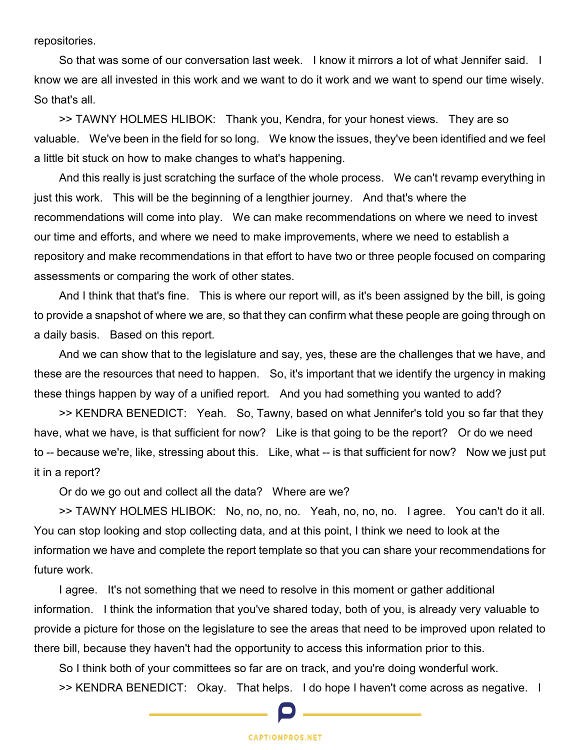repositories.

 So that was some of our conversation last week. I know it mirrors a lot of what Jennifer said. I know we are all invested in this work and we want to do it work and we want to spend our time wisely. So that's all.

 >> TAWNY HOLMES HLIBOK: Thank you, Kendra, for your honest views. They are so valuable. We've been in the field for so long. We know the issues, they've been identified and we feel a little bit stuck on how to make changes to what's happening.

 And this really is just scratching the surface of the whole process. We can't revamp everything in just this work. This will be the beginning of a lengthier journey. And that's where the recommendations will come into play. We can make recommendations on where we need to invest our time and efforts, and where we need to make improvements, where we need to establish a repository and make recommendations in that effort to have two or three people focused on comparing assessments or comparing the work of other states.

 And I think that that's fine. This is where our report will, as it's been assigned by the bill, is going to provide a snapshot of where we are, so that they can confirm what these people are going through on a daily basis. Based on this report.

 And we can show that to the legislature and say, yes, these are the challenges that we have, and these are the resources that need to happen. So, it's important that we identify the urgency in making these things happen by way of a unified report. And you had something you wanted to add?

 >> KENDRA BENEDICT: Yeah. So, Tawny, based on what Jennifer's told you so far that they have, what we have, is that sufficient for now? Like is that going to be the report? Or do we need to -- because we're, like, stressing about this. Like, what -- is that sufficient for now? Now we just put it in a report?

Or do we go out and collect all the data? Where are we?

 >> TAWNY HOLMES HLIBOK: No, no, no, no. Yeah, no, no, no. I agree. You can't do it all. You can stop looking and stop collecting data, and at this point, I think we need to look at the information we have and complete the report template so that you can share your recommendations for future work.

 I agree. It's not something that we need to resolve in this moment or gather additional information. I think the information that you've shared today, both of you, is already very valuable to provide a picture for those on the legislature to see the areas that need to be improved upon related to there bill, because they haven't had the opportunity to access this information prior to this.

 So I think both of your committees so far are on track, and you're doing wonderful work. >> KENDRA BENEDICT: Okay. That helps. I do hope I haven't come across as negative. I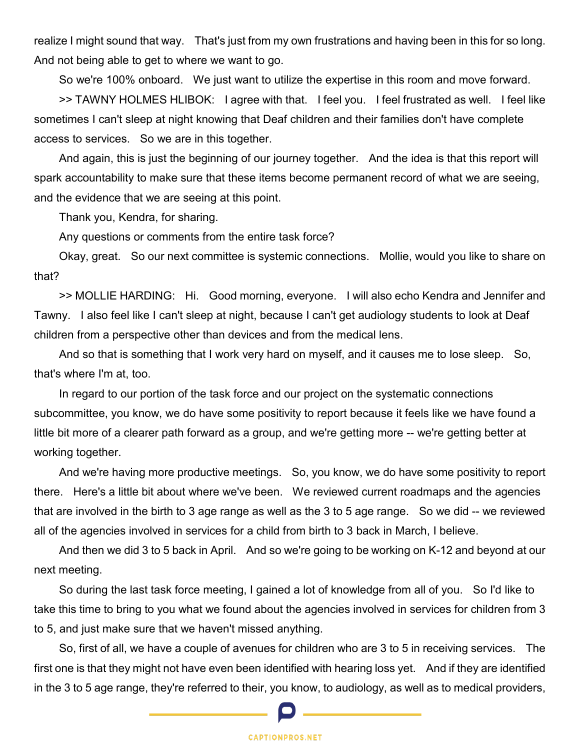realize I might sound that way. That's just from my own frustrations and having been in this for so long. And not being able to get to where we want to go.

So we're 100% onboard. We just want to utilize the expertise in this room and move forward.

 >> TAWNY HOLMES HLIBOK: I agree with that. I feel you. I feel frustrated as well. I feel like sometimes I can't sleep at night knowing that Deaf children and their families don't have complete access to services. So we are in this together.

 And again, this is just the beginning of our journey together. And the idea is that this report will spark accountability to make sure that these items become permanent record of what we are seeing, and the evidence that we are seeing at this point.

Thank you, Kendra, for sharing.

Any questions or comments from the entire task force?

 Okay, great. So our next committee is systemic connections. Mollie, would you like to share on that?

 >> MOLLIE HARDING: Hi. Good morning, everyone. I will also echo Kendra and Jennifer and Tawny. I also feel like I can't sleep at night, because I can't get audiology students to look at Deaf children from a perspective other than devices and from the medical lens.

 And so that is something that I work very hard on myself, and it causes me to lose sleep. So, that's where I'm at, too.

 In regard to our portion of the task force and our project on the systematic connections subcommittee, you know, we do have some positivity to report because it feels like we have found a little bit more of a clearer path forward as a group, and we're getting more -- we're getting better at working together.

 And we're having more productive meetings. So, you know, we do have some positivity to report there. Here's a little bit about where we've been. We reviewed current roadmaps and the agencies that are involved in the birth to 3 age range as well as the 3 to 5 age range. So we did -- we reviewed all of the agencies involved in services for a child from birth to 3 back in March, I believe.

 And then we did 3 to 5 back in April. And so we're going to be working on K-12 and beyond at our next meeting.

 So during the last task force meeting, I gained a lot of knowledge from all of you. So I'd like to take this time to bring to you what we found about the agencies involved in services for children from 3 to 5, and just make sure that we haven't missed anything.

 So, first of all, we have a couple of avenues for children who are 3 to 5 in receiving services. The first one is that they might not have even been identified with hearing loss yet. And if they are identified in the 3 to 5 age range, they're referred to their, you know, to audiology, as well as to medical providers,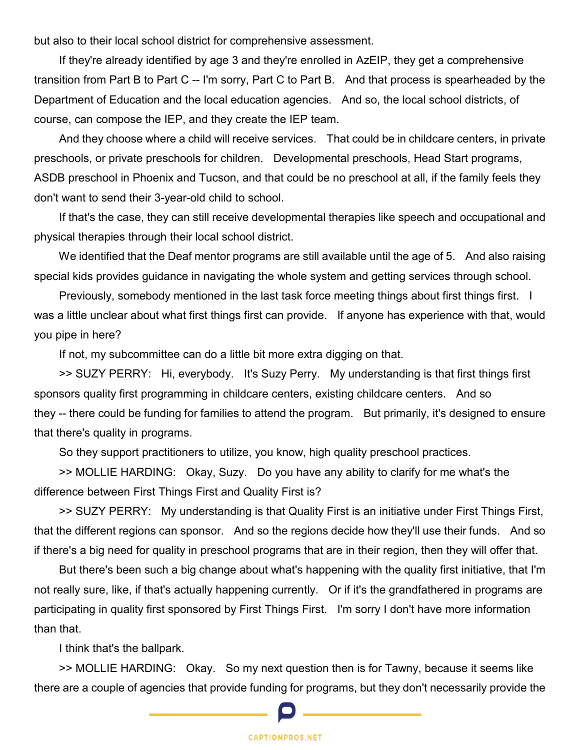but also to their local school district for comprehensive assessment.

 If they're already identified by age 3 and they're enrolled in AzEIP, they get a comprehensive transition from Part B to Part C -- I'm sorry, Part C to Part B. And that process is spearheaded by the Department of Education and the local education agencies. And so, the local school districts, of course, can compose the IEP, and they create the IEP team.

 And they choose where a child will receive services. That could be in childcare centers, in private preschools, or private preschools for children. Developmental preschools, Head Start programs, ASDB preschool in Phoenix and Tucson, and that could be no preschool at all, if the family feels they don't want to send their 3-year-old child to school.

 If that's the case, they can still receive developmental therapies like speech and occupational and physical therapies through their local school district.

We identified that the Deaf mentor programs are still available until the age of 5. And also raising special kids provides guidance in navigating the whole system and getting services through school.

 Previously, somebody mentioned in the last task force meeting things about first things first. I was a little unclear about what first things first can provide. If anyone has experience with that, would you pipe in here?

If not, my subcommittee can do a little bit more extra digging on that.

 >> SUZY PERRY: Hi, everybody. It's Suzy Perry. My understanding is that first things first sponsors quality first programming in childcare centers, existing childcare centers. And so they -- there could be funding for families to attend the program. But primarily, it's designed to ensure that there's quality in programs.

So they support practitioners to utilize, you know, high quality preschool practices.

 >> MOLLIE HARDING: Okay, Suzy. Do you have any ability to clarify for me what's the difference between First Things First and Quality First is?

 >> SUZY PERRY: My understanding is that Quality First is an initiative under First Things First, that the different regions can sponsor. And so the regions decide how they'll use their funds. And so if there's a big need for quality in preschool programs that are in their region, then they will offer that.

 But there's been such a big change about what's happening with the quality first initiative, that I'm not really sure, like, if that's actually happening currently. Or if it's the grandfathered in programs are participating in quality first sponsored by First Things First. I'm sorry I don't have more information than that.

I think that's the ballpark.

 >> MOLLIE HARDING: Okay. So my next question then is for Tawny, because it seems like there are a couple of agencies that provide funding for programs, but they don't necessarily provide the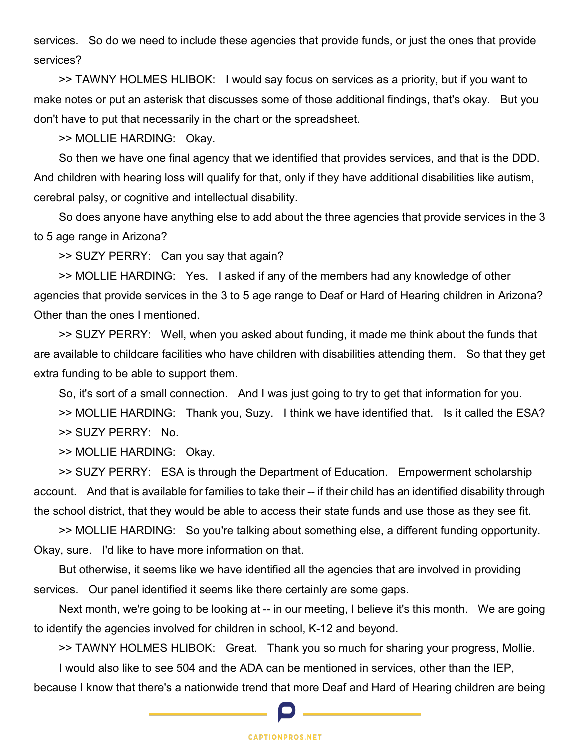services. So do we need to include these agencies that provide funds, or just the ones that provide services?

 >> TAWNY HOLMES HLIBOK: I would say focus on services as a priority, but if you want to make notes or put an asterisk that discusses some of those additional findings, that's okay. But you don't have to put that necessarily in the chart or the spreadsheet.

>> MOLLIE HARDING: Okay.

 So then we have one final agency that we identified that provides services, and that is the DDD. And children with hearing loss will qualify for that, only if they have additional disabilities like autism, cerebral palsy, or cognitive and intellectual disability.

 So does anyone have anything else to add about the three agencies that provide services in the 3 to 5 age range in Arizona?

>> SUZY PERRY: Can you say that again?

 >> MOLLIE HARDING: Yes. I asked if any of the members had any knowledge of other agencies that provide services in the 3 to 5 age range to Deaf or Hard of Hearing children in Arizona? Other than the ones I mentioned.

 >> SUZY PERRY: Well, when you asked about funding, it made me think about the funds that are available to childcare facilities who have children with disabilities attending them. So that they get extra funding to be able to support them.

So, it's sort of a small connection. And I was just going to try to get that information for you.

 >> MOLLIE HARDING: Thank you, Suzy. I think we have identified that. Is it called the ESA? >> SUZY PERRY: No.

>> MOLLIE HARDING: Okay.

 >> SUZY PERRY: ESA is through the Department of Education. Empowerment scholarship account. And that is available for families to take their -- if their child has an identified disability through the school district, that they would be able to access their state funds and use those as they see fit.

 >> MOLLIE HARDING: So you're talking about something else, a different funding opportunity. Okay, sure. I'd like to have more information on that.

 But otherwise, it seems like we have identified all the agencies that are involved in providing services. Our panel identified it seems like there certainly are some gaps.

Next month, we're going to be looking at -- in our meeting, I believe it's this month. We are going to identify the agencies involved for children in school, K-12 and beyond.

>> TAWNY HOLMES HLIBOK: Great. Thank you so much for sharing your progress, Mollie.

I would also like to see 504 and the ADA can be mentioned in services, other than the IEP,

because I know that there's a nationwide trend that more Deaf and Hard of Hearing children are being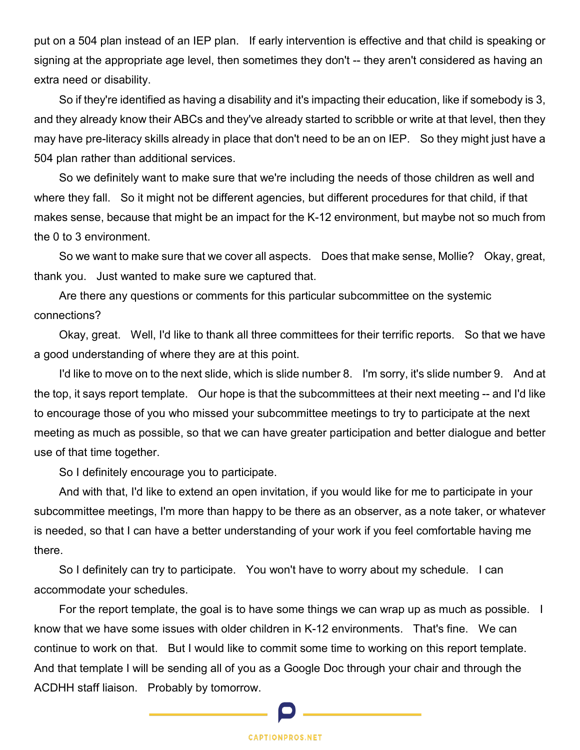put on a 504 plan instead of an IEP plan. If early intervention is effective and that child is speaking or signing at the appropriate age level, then sometimes they don't -- they aren't considered as having an extra need or disability.

 So if they're identified as having a disability and it's impacting their education, like if somebody is 3, and they already know their ABCs and they've already started to scribble or write at that level, then they may have pre-literacy skills already in place that don't need to be an on IEP. So they might just have a 504 plan rather than additional services.

 So we definitely want to make sure that we're including the needs of those children as well and where they fall. So it might not be different agencies, but different procedures for that child, if that makes sense, because that might be an impact for the K-12 environment, but maybe not so much from the 0 to 3 environment.

 So we want to make sure that we cover all aspects. Does that make sense, Mollie? Okay, great, thank you. Just wanted to make sure we captured that.

 Are there any questions or comments for this particular subcommittee on the systemic connections?

 Okay, great. Well, I'd like to thank all three committees for their terrific reports. So that we have a good understanding of where they are at this point.

 I'd like to move on to the next slide, which is slide number 8. I'm sorry, it's slide number 9. And at the top, it says report template. Our hope is that the subcommittees at their next meeting -- and I'd like to encourage those of you who missed your subcommittee meetings to try to participate at the next meeting as much as possible, so that we can have greater participation and better dialogue and better use of that time together.

So I definitely encourage you to participate.

 And with that, I'd like to extend an open invitation, if you would like for me to participate in your subcommittee meetings, I'm more than happy to be there as an observer, as a note taker, or whatever is needed, so that I can have a better understanding of your work if you feel comfortable having me there.

 So I definitely can try to participate. You won't have to worry about my schedule. I can accommodate your schedules.

For the report template, the goal is to have some things we can wrap up as much as possible. I know that we have some issues with older children in K-12 environments. That's fine. We can continue to work on that. But I would like to commit some time to working on this report template. And that template I will be sending all of you as a Google Doc through your chair and through the ACDHH staff liaison. Probably by tomorrow.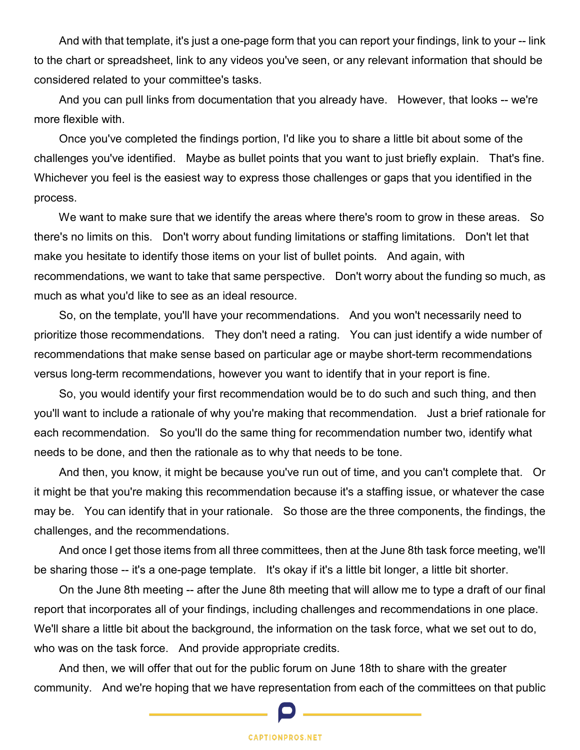And with that template, it's just a one-page form that you can report your findings, link to your -- link to the chart or spreadsheet, link to any videos you've seen, or any relevant information that should be considered related to your committee's tasks.

 And you can pull links from documentation that you already have. However, that looks -- we're more flexible with.

 Once you've completed the findings portion, I'd like you to share a little bit about some of the challenges you've identified. Maybe as bullet points that you want to just briefly explain. That's fine. Whichever you feel is the easiest way to express those challenges or gaps that you identified in the process.

We want to make sure that we identify the areas where there's room to grow in these areas. So there's no limits on this. Don't worry about funding limitations or staffing limitations. Don't let that make you hesitate to identify those items on your list of bullet points. And again, with recommendations, we want to take that same perspective. Don't worry about the funding so much, as much as what you'd like to see as an ideal resource.

 So, on the template, you'll have your recommendations. And you won't necessarily need to prioritize those recommendations. They don't need a rating. You can just identify a wide number of recommendations that make sense based on particular age or maybe short-term recommendations versus long-term recommendations, however you want to identify that in your report is fine.

 So, you would identify your first recommendation would be to do such and such thing, and then you'll want to include a rationale of why you're making that recommendation. Just a brief rationale for each recommendation. So you'll do the same thing for recommendation number two, identify what needs to be done, and then the rationale as to why that needs to be tone.

 And then, you know, it might be because you've run out of time, and you can't complete that. Or it might be that you're making this recommendation because it's a staffing issue, or whatever the case may be. You can identify that in your rationale. So those are the three components, the findings, the challenges, and the recommendations.

 And once I get those items from all three committees, then at the June 8th task force meeting, we'll be sharing those -- it's a one-page template. It's okay if it's a little bit longer, a little bit shorter.

 On the June 8th meeting -- after the June 8th meeting that will allow me to type a draft of our final report that incorporates all of your findings, including challenges and recommendations in one place. We'll share a little bit about the background, the information on the task force, what we set out to do, who was on the task force. And provide appropriate credits.

 And then, we will offer that out for the public forum on June 18th to share with the greater community. And we're hoping that we have representation from each of the committees on that public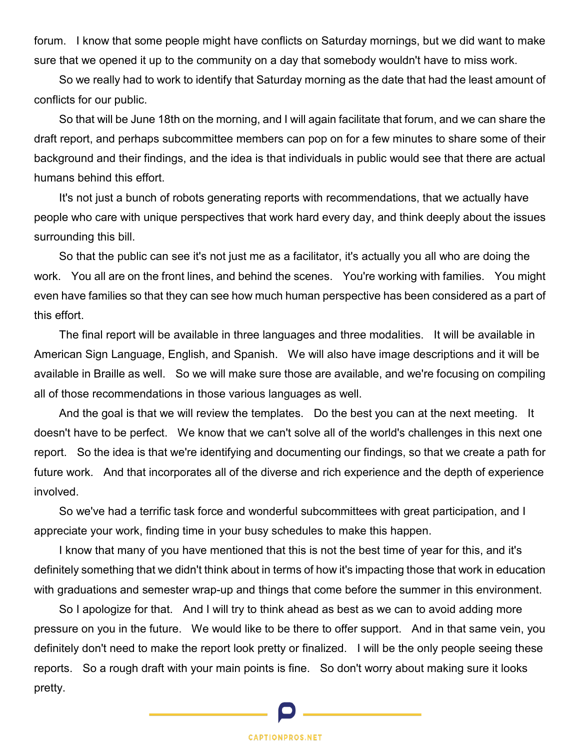forum. I know that some people might have conflicts on Saturday mornings, but we did want to make sure that we opened it up to the community on a day that somebody wouldn't have to miss work.

 So we really had to work to identify that Saturday morning as the date that had the least amount of conflicts for our public.

 So that will be June 18th on the morning, and I will again facilitate that forum, and we can share the draft report, and perhaps subcommittee members can pop on for a few minutes to share some of their background and their findings, and the idea is that individuals in public would see that there are actual humans behind this effort.

 It's not just a bunch of robots generating reports with recommendations, that we actually have people who care with unique perspectives that work hard every day, and think deeply about the issues surrounding this bill.

 So that the public can see it's not just me as a facilitator, it's actually you all who are doing the work. You all are on the front lines, and behind the scenes. You're working with families. You might even have families so that they can see how much human perspective has been considered as a part of this effort.

 The final report will be available in three languages and three modalities. It will be available in American Sign Language, English, and Spanish. We will also have image descriptions and it will be available in Braille as well. So we will make sure those are available, and we're focusing on compiling all of those recommendations in those various languages as well.

 And the goal is that we will review the templates. Do the best you can at the next meeting. It doesn't have to be perfect. We know that we can't solve all of the world's challenges in this next one report. So the idea is that we're identifying and documenting our findings, so that we create a path for future work. And that incorporates all of the diverse and rich experience and the depth of experience involved.

 So we've had a terrific task force and wonderful subcommittees with great participation, and I appreciate your work, finding time in your busy schedules to make this happen.

 I know that many of you have mentioned that this is not the best time of year for this, and it's definitely something that we didn't think about in terms of how it's impacting those that work in education with graduations and semester wrap-up and things that come before the summer in this environment.

So I apologize for that. And I will try to think ahead as best as we can to avoid adding more pressure on you in the future. We would like to be there to offer support. And in that same vein, you definitely don't need to make the report look pretty or finalized. I will be the only people seeing these reports. So a rough draft with your main points is fine. So don't worry about making sure it looks pretty.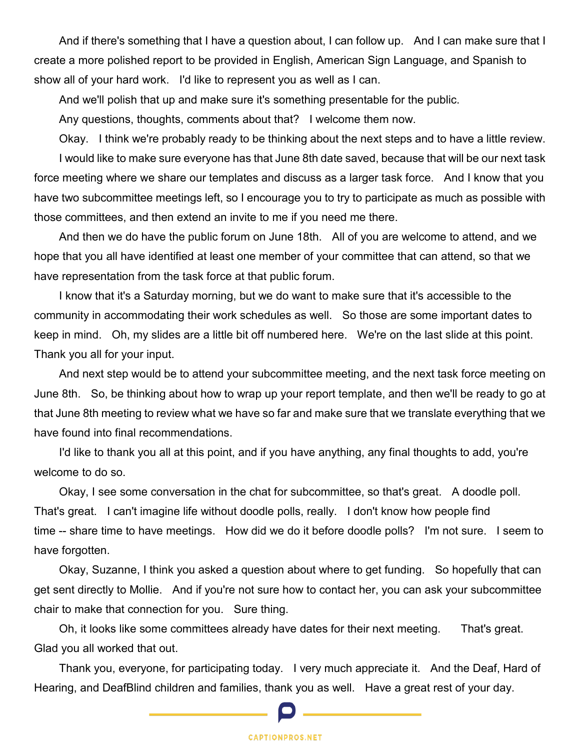And if there's something that I have a question about, I can follow up. And I can make sure that I create a more polished report to be provided in English, American Sign Language, and Spanish to show all of your hard work. I'd like to represent you as well as I can.

And we'll polish that up and make sure it's something presentable for the public.

Any questions, thoughts, comments about that? I welcome them now.

 Okay. I think we're probably ready to be thinking about the next steps and to have a little review. I would like to make sure everyone has that June 8th date saved, because that will be our next task force meeting where we share our templates and discuss as a larger task force. And I know that you have two subcommittee meetings left, so I encourage you to try to participate as much as possible with those committees, and then extend an invite to me if you need me there.

 And then we do have the public forum on June 18th. All of you are welcome to attend, and we hope that you all have identified at least one member of your committee that can attend, so that we have representation from the task force at that public forum.

 I know that it's a Saturday morning, but we do want to make sure that it's accessible to the community in accommodating their work schedules as well. So those are some important dates to keep in mind. Oh, my slides are a little bit off numbered here. We're on the last slide at this point. Thank you all for your input.

 And next step would be to attend your subcommittee meeting, and the next task force meeting on June 8th. So, be thinking about how to wrap up your report template, and then we'll be ready to go at that June 8th meeting to review what we have so far and make sure that we translate everything that we have found into final recommendations.

 I'd like to thank you all at this point, and if you have anything, any final thoughts to add, you're welcome to do so.

 Okay, I see some conversation in the chat for subcommittee, so that's great. A doodle poll. That's great. I can't imagine life without doodle polls, really. I don't know how people find time -- share time to have meetings. How did we do it before doodle polls? I'm not sure. I seem to have forgotten.

 Okay, Suzanne, I think you asked a question about where to get funding. So hopefully that can get sent directly to Mollie. And if you're not sure how to contact her, you can ask your subcommittee chair to make that connection for you. Sure thing.

 Oh, it looks like some committees already have dates for their next meeting. That's great. Glad you all worked that out.

 Thank you, everyone, for participating today. I very much appreciate it. And the Deaf, Hard of Hearing, and DeafBlind children and families, thank you as well. Have a great rest of your day.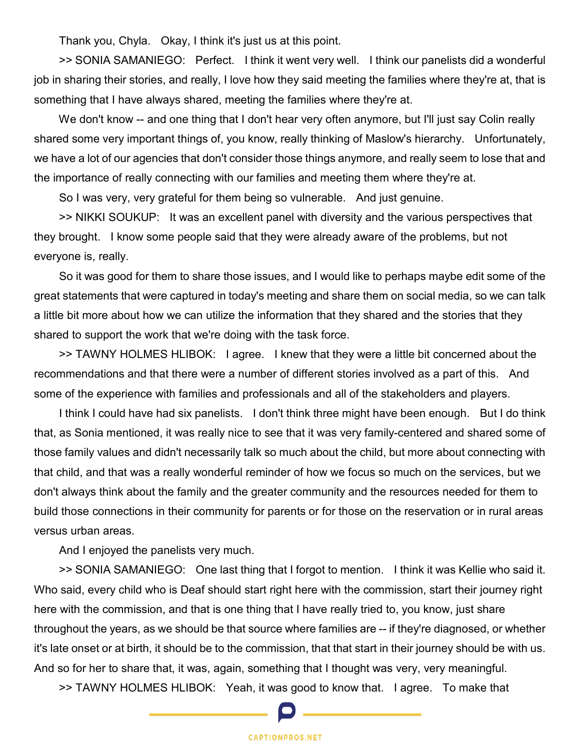Thank you, Chyla. Okay, I think it's just us at this point.

 >> SONIA SAMANIEGO: Perfect. I think it went very well. I think our panelists did a wonderful job in sharing their stories, and really, I love how they said meeting the families where they're at, that is something that I have always shared, meeting the families where they're at.

We don't know -- and one thing that I don't hear very often anymore, but I'll just say Colin really shared some very important things of, you know, really thinking of Maslow's hierarchy. Unfortunately, we have a lot of our agencies that don't consider those things anymore, and really seem to lose that and the importance of really connecting with our families and meeting them where they're at.

So I was very, very grateful for them being so vulnerable. And just genuine.

 >> NIKKI SOUKUP: It was an excellent panel with diversity and the various perspectives that they brought. I know some people said that they were already aware of the problems, but not everyone is, really.

 So it was good for them to share those issues, and I would like to perhaps maybe edit some of the great statements that were captured in today's meeting and share them on social media, so we can talk a little bit more about how we can utilize the information that they shared and the stories that they shared to support the work that we're doing with the task force.

 >> TAWNY HOLMES HLIBOK: I agree. I knew that they were a little bit concerned about the recommendations and that there were a number of different stories involved as a part of this. And some of the experience with families and professionals and all of the stakeholders and players.

 I think I could have had six panelists. I don't think three might have been enough. But I do think that, as Sonia mentioned, it was really nice to see that it was very family-centered and shared some of those family values and didn't necessarily talk so much about the child, but more about connecting with that child, and that was a really wonderful reminder of how we focus so much on the services, but we don't always think about the family and the greater community and the resources needed for them to build those connections in their community for parents or for those on the reservation or in rural areas versus urban areas.

And I enjoyed the panelists very much.

 >> SONIA SAMANIEGO: One last thing that I forgot to mention. I think it was Kellie who said it. Who said, every child who is Deaf should start right here with the commission, start their journey right here with the commission, and that is one thing that I have really tried to, you know, just share throughout the years, as we should be that source where families are -- if they're diagnosed, or whether it's late onset or at birth, it should be to the commission, that that start in their journey should be with us. And so for her to share that, it was, again, something that I thought was very, very meaningful.

>> TAWNY HOLMES HLIBOK: Yeah, it was good to know that. I agree. To make that

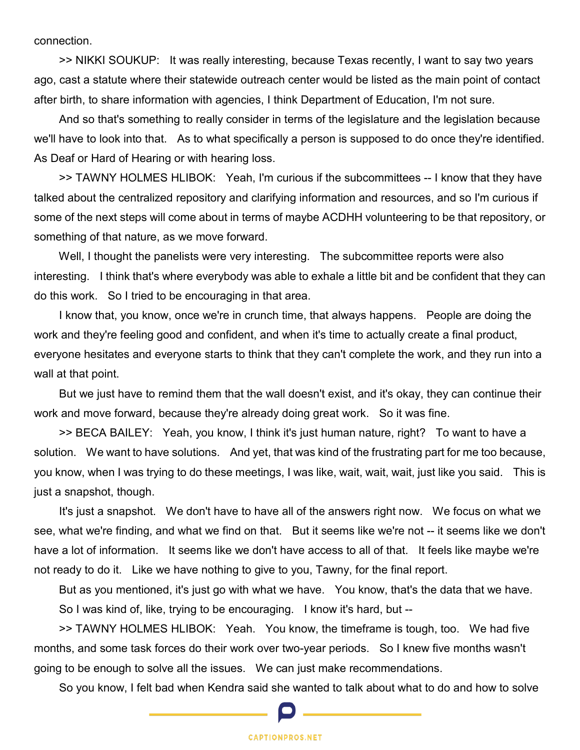connection.

 >> NIKKI SOUKUP: It was really interesting, because Texas recently, I want to say two years ago, cast a statute where their statewide outreach center would be listed as the main point of contact after birth, to share information with agencies, I think Department of Education, I'm not sure.

 And so that's something to really consider in terms of the legislature and the legislation because we'll have to look into that. As to what specifically a person is supposed to do once they're identified. As Deaf or Hard of Hearing or with hearing loss.

 >> TAWNY HOLMES HLIBOK: Yeah, I'm curious if the subcommittees -- I know that they have talked about the centralized repository and clarifying information and resources, and so I'm curious if some of the next steps will come about in terms of maybe ACDHH volunteering to be that repository, or something of that nature, as we move forward.

Well, I thought the panelists were very interesting. The subcommittee reports were also interesting. I think that's where everybody was able to exhale a little bit and be confident that they can do this work. So I tried to be encouraging in that area.

 I know that, you know, once we're in crunch time, that always happens. People are doing the work and they're feeling good and confident, and when it's time to actually create a final product, everyone hesitates and everyone starts to think that they can't complete the work, and they run into a wall at that point.

 But we just have to remind them that the wall doesn't exist, and it's okay, they can continue their work and move forward, because they're already doing great work. So it was fine.

 >> BECA BAILEY: Yeah, you know, I think it's just human nature, right? To want to have a solution. We want to have solutions. And yet, that was kind of the frustrating part for me too because, you know, when I was trying to do these meetings, I was like, wait, wait, wait, just like you said. This is just a snapshot, though.

 It's just a snapshot. We don't have to have all of the answers right now. We focus on what we see, what we're finding, and what we find on that. But it seems like we're not -- it seems like we don't have a lot of information. It seems like we don't have access to all of that. It feels like maybe we're not ready to do it. Like we have nothing to give to you, Tawny, for the final report.

 But as you mentioned, it's just go with what we have. You know, that's the data that we have. So I was kind of, like, trying to be encouraging. I know it's hard, but --

 >> TAWNY HOLMES HLIBOK: Yeah. You know, the timeframe is tough, too. We had five months, and some task forces do their work over two-year periods. So I knew five months wasn't going to be enough to solve all the issues. We can just make recommendations.

So you know, I felt bad when Kendra said she wanted to talk about what to do and how to solve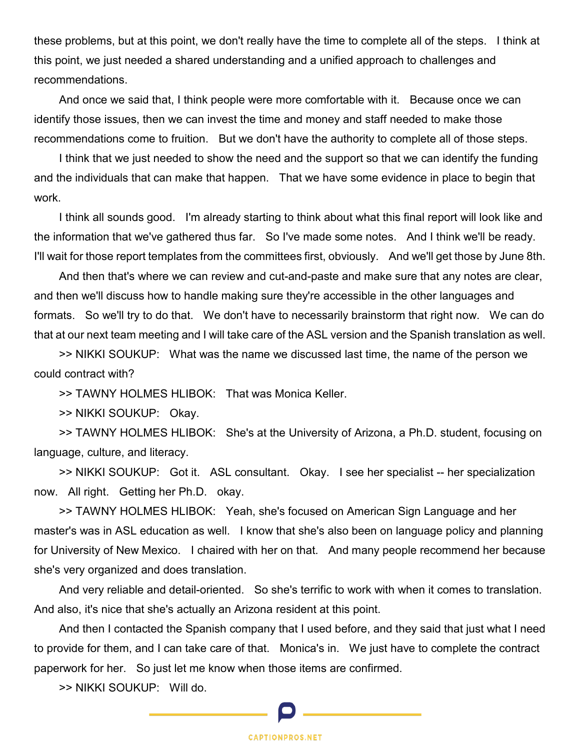these problems, but at this point, we don't really have the time to complete all of the steps. I think at this point, we just needed a shared understanding and a unified approach to challenges and recommendations.

 And once we said that, I think people were more comfortable with it. Because once we can identify those issues, then we can invest the time and money and staff needed to make those recommendations come to fruition. But we don't have the authority to complete all of those steps.

 I think that we just needed to show the need and the support so that we can identify the funding and the individuals that can make that happen. That we have some evidence in place to begin that work.

 I think all sounds good. I'm already starting to think about what this final report will look like and the information that we've gathered thus far. So I've made some notes. And I think we'll be ready. I'll wait for those report templates from the committees first, obviously. And we'll get those by June 8th.

 And then that's where we can review and cut-and-paste and make sure that any notes are clear, and then we'll discuss how to handle making sure they're accessible in the other languages and formats. So we'll try to do that. We don't have to necessarily brainstorm that right now. We can do that at our next team meeting and I will take care of the ASL version and the Spanish translation as well.

 >> NIKKI SOUKUP: What was the name we discussed last time, the name of the person we could contract with?

>> TAWNY HOLMES HLIBOK: That was Monica Keller.

>> NIKKI SOUKUP: Okay.

 >> TAWNY HOLMES HLIBOK: She's at the University of Arizona, a Ph.D. student, focusing on language, culture, and literacy.

 >> NIKKI SOUKUP: Got it. ASL consultant. Okay. I see her specialist -- her specialization now. All right. Getting her Ph.D. okay.

 >> TAWNY HOLMES HLIBOK: Yeah, she's focused on American Sign Language and her master's was in ASL education as well. I know that she's also been on language policy and planning for University of New Mexico. I chaired with her on that. And many people recommend her because she's very organized and does translation.

 And very reliable and detail-oriented. So she's terrific to work with when it comes to translation. And also, it's nice that she's actually an Arizona resident at this point.

 And then I contacted the Spanish company that I used before, and they said that just what I need to provide for them, and I can take care of that. Monica's in. We just have to complete the contract paperwork for her. So just let me know when those items are confirmed.

>> NIKKI SOUKUP: Will do.